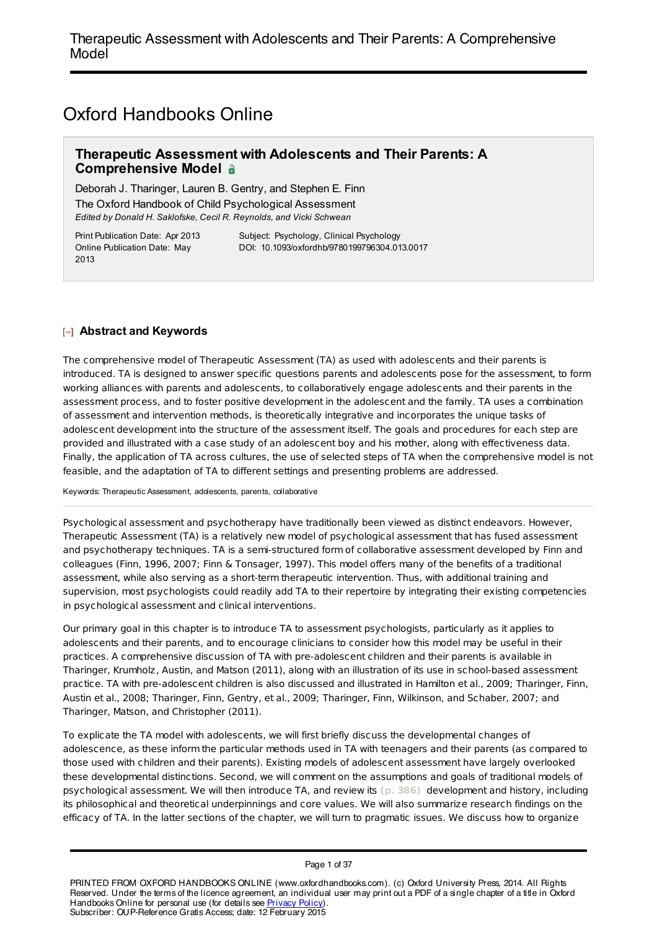# Oxford Handbooks Online

# **Therapeutic Assessment with Adolescents and Their Parents: A Comprehensive Model**

Deborah J. Tharinger, Lauren B. Gentry, and Stephen E. Finn The Oxford Handbook of Child Psychological Assessment *Edited by Donald H. Saklofske, Cecil R. Reynolds, and Vicki Schwean*

Online Publication Date: May 2013

Print Publication Date: Apr 2013 Subject: Psychology, Clinical Psychology DOI: 10.1093/oxfordhb/9780199796304.013.0017

### **Abstract and Keywords**

The comprehensive model of Therapeutic Assessment (TA) as used with adolescents and their parents is introduced. TA is designed to answer specific questions parents and adolescents pose for the assessment, to form working alliances with parents and adolescents, to collaboratively engage adolescents and their parents in the assessment process, and to foster positive development in the adolescent and the family. TA uses a combination of assessment and intervention methods, is theoretically integrative and incorporates the unique tasks of adolescent development into the structure of the assessment itself. The goals and procedures for each step are provided and illustrated with a case study of an adolescent boy and his mother, along with effectiveness data. Finally, the application of TA across cultures, the use of selected steps of TA when the comprehensive model is not feasible, and the adaptation of TA to different settings and presenting problems are addressed.

Keywords: Therapeutic Assessment, adolescents, parents, collaborative

Psychological assessment and psychotherapy have traditionally been viewed as distinct endeavors. However, Therapeutic Assessment (TA) is a relatively new model of psychological assessment that has fused assessment and psychotherapy techniques. TA is a semi-structured form of collaborative assessment developed by Finn and colleagues (Finn, 1996, 2007; Finn & Tonsager, 1997). This model offers many of the benefits of a traditional assessment, while also serving as a short-term therapeutic intervention. Thus, with additional training and supervision, most psychologists could readily add TA to their repertoire by integrating their existing competencies in psychological assessment and clinical interventions.

Our primary goal in this chapter is to introduce TA to assessment psychologists, particularly as it applies to adolescents and their parents, and to encourage clinicians to consider how this model may be useful in their practices. A comprehensive discussion of TA with pre-adolescent children and their parents is available in Tharinger, Krumholz, Austin, and Matson (2011), along with an illustration of its use in school-based assessment practice. TA with pre-adolescent children is also discussed and illustrated in Hamilton et al., 2009; Tharinger, Finn, Austin et al., 2008; Tharinger, Finn, Gentry, et al., 2009; Tharinger, Finn, Wilkinson, and Schaber, 2007; and Tharinger, Matson, and Christopher (2011).

To explicate the TA model with adolescents, we will first briefly discuss the developmental changes of adolescence, as these inform the particular methods used in TA with teenagers and their parents (as compared to those used with children and their parents). Existing models of adolescent assessment have largely overlooked these developmental distinctions. Second, we will comment on the assumptions and goals of traditional models of psychological assessment. We will then introduce TA, and review its **(p. 386)** development and history, including its philosophical and theoretical underpinnings and core values. We will also summarize research findings on the efficacy of TA. In the latter sections of the chapter, we will turn to pragmatic issues. We discuss how to organize

#### Page 1 of 37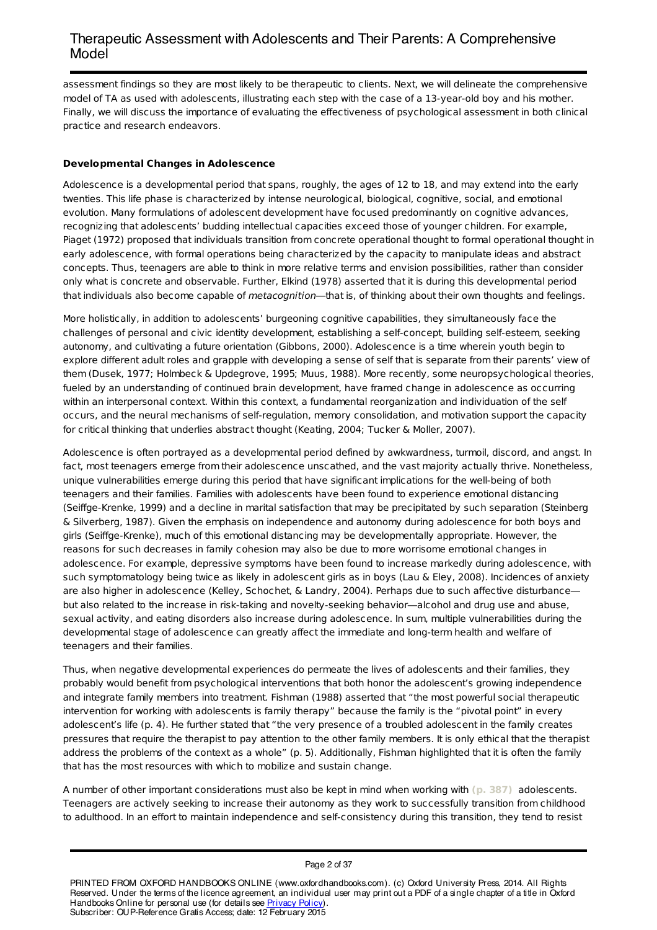assessment findings so they are most likely to be therapeutic to clients. Next, we will delineate the comprehensive model of TA as used with adolescents, illustrating each step with the case of a 13-year-old boy and his mother. Finally, we will discuss the importance of evaluating the effectiveness of psychological assessment in both clinical practice and research endeavors.

### **Developmental Changes in Adolescence**

Adolescence is a developmental period that spans, roughly, the ages of 12 to 18, and may extend into the early twenties. This life phase is characterized by intense neurological, biological, cognitive, social, and emotional evolution. Many formulations of adolescent development have focused predominantly on cognitive advances, recognizing that adolescents' budding intellectual capacities exceed those of younger children. For example, Piaget (1972) proposed that individuals transition from concrete operational thought to formal operational thought in early adolescence, with formal operations being characterized by the capacity to manipulate ideas and abstract concepts. Thus, teenagers are able to think in more relative terms and envision possibilities, rather than consider only what is concrete and observable. Further, Elkind (1978) asserted that it is during this developmental period that individuals also become capable of metacognition—that is, of thinking about their own thoughts and feelings.

More holistically, in addition to adolescents' burgeoning cognitive capabilities, they simultaneously face the challenges of personal and civic identity development, establishing a self-concept, building self-esteem, seeking autonomy, and cultivating a future orientation (Gibbons, 2000). Adolescence is a time wherein youth begin to explore different adult roles and grapple with developing a sense of self that is separate from their parents' view of them (Dusek, 1977; Holmbeck & Updegrove, 1995; Muus, 1988). More recently, some neuropsychological theories, fueled by an understanding of continued brain development, have framed change in adolescence as occurring within an interpersonal context. Within this context, a fundamental reorganization and individuation of the self occurs, and the neural mechanisms of self-regulation, memory consolidation, and motivation support the capacity for critical thinking that underlies abstract thought (Keating, 2004; Tucker & Moller, 2007).

Adolescence is often portrayed as a developmental period defined by awkwardness, turmoil, discord, and angst. In fact, most teenagers emerge from their adolescence unscathed, and the vast majority actually thrive. Nonetheless, unique vulnerabilities emerge during this period that have significant implications for the well-being of both teenagers and their families. Families with adolescents have been found to experience emotional distancing (Seiffge-Krenke, 1999) and a decline in marital satisfaction that may be precipitated by such separation (Steinberg & Silverberg, 1987). Given the emphasis on independence and autonomy during adolescence for both boys and girls (Seiffge-Krenke), much of this emotional distancing may be developmentally appropriate. However, the reasons for such decreases in family cohesion may also be due to more worrisome emotional changes in adolescence. For example, depressive symptoms have been found to increase markedly during adolescence, with such symptomatology being twice as likely in adolescent girls as in boys (Lau & Eley, 2008). Incidences of anxiety are also higher in adolescence (Kelley, Schochet, & Landry, 2004). Perhaps due to such affective disturbance but also related to the increase in risk-taking and novelty-seeking behavior—alcohol and drug use and abuse, sexual activity, and eating disorders also increase during adolescence. In sum, multiple vulnerabilities during the developmental stage of adolescence can greatly affect the immediate and long-term health and welfare of teenagers and their families.

Thus, when negative developmental experiences do permeate the lives of adolescents and their families, they probably would benefit from psychological interventions that both honor the adolescent's growing independence and integrate family members into treatment. Fishman (1988) asserted that "the most powerful social therapeutic intervention for working with adolescents is family therapy" because the family is the "pivotal point" in every adolescent's life (p. 4). He further stated that "the very presence of a troubled adolescent in the family creates pressures that require the therapist to pay attention to the other family members. It is only ethical that the therapist address the problems of the context as a whole" (p. 5). Additionally, Fishman highlighted that it is often the family that has the most resources with which to mobilize and sustain change.

A number of other important considerations must also be kept in mind when working with **(p. 387)** adolescents. Teenagers are actively seeking to increase their autonomy as they work to successfully transition from childhood to adulthood. In an effort to maintain independence and self-consistency during this transition, they tend to resist

#### Page 2 of 37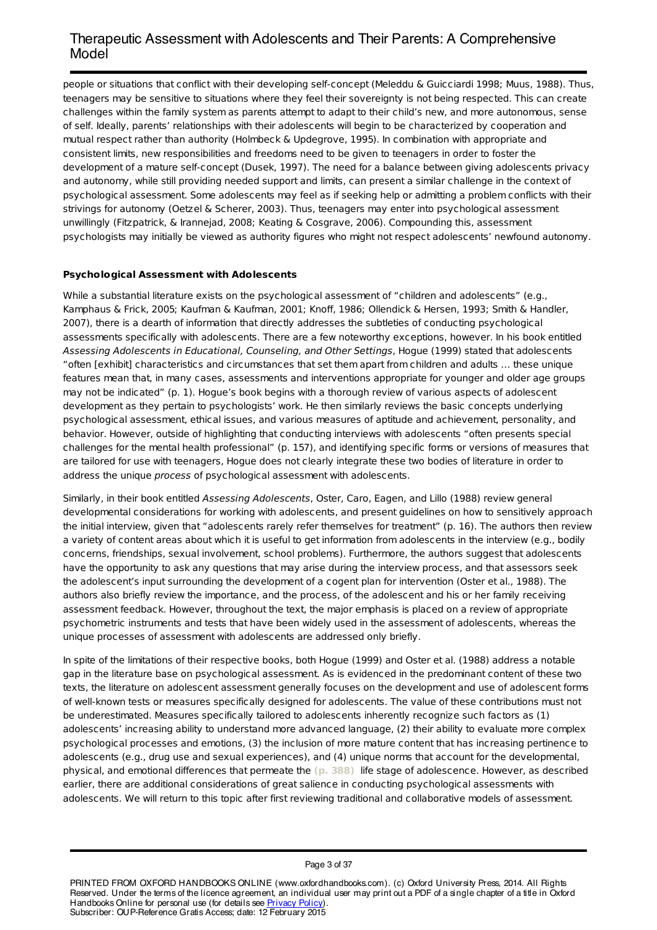people or situations that conflict with their developing self-concept (Meleddu & Guicciardi 1998; Muus, 1988). Thus, teenagers may be sensitive to situations where they feel their sovereignty is not being respected. This can create challenges within the family system as parents attempt to adapt to their child's new, and more autonomous, sense of self. Ideally, parents' relationships with their adolescents will begin to be characterized by cooperation and mutual respect rather than authority (Holmbeck & Updegrove, 1995). In combination with appropriate and consistent limits, new responsibilities and freedoms need to be given to teenagers in order to foster the development of a mature self-concept (Dusek, 1997). The need for a balance between giving adolescents privacy and autonomy, while still providing needed support and limits, can present a similar challenge in the context of psychological assessment. Some adolescents may feel as if seeking help or admitting a problem conflicts with their strivings for autonomy (Oetzel & Scherer, 2003). Thus, teenagers may enter into psychological assessment unwillingly (Fitzpatrick, & Irannejad, 2008; Keating & Cosgrave, 2006). Compounding this, assessment psychologists may initially be viewed as authority figures who might not respect adolescents' newfound autonomy.

### **Psychological Assessment with Adolescents**

While a substantial literature exists on the psychological assessment of "children and adolescents" (e.g., Kamphaus & Frick, 2005; Kaufman & Kaufman, 2001; Knoff, 1986; Ollendick & Hersen, 1993; Smith & Handler, 2007), there is a dearth of information that directly addresses the subtleties of conducting psychological assessments specifically with adolescents. There are a few noteworthy exceptions, however. In his book entitled Assessing Adolescents in Educational, Counseling, and Other Settings, Hogue (1999) stated that adolescents "often [exhibit] characteristics and circumstances that set them apart from children and adults … these unique features mean that, in many cases, assessments and interventions appropriate for younger and older age groups may not be indicated" (p. 1). Hogue's book begins with a thorough review of various aspects of adolescent development as they pertain to psychologists' work. He then similarly reviews the basic concepts underlying psychological assessment, ethical issues, and various measures of aptitude and achievement, personality, and behavior. However, outside of highlighting that conducting interviews with adolescents "often presents special challenges for the mental health professional" (p. 157), and identifying specific forms or versions of measures that are tailored for use with teenagers, Hogue does not clearly integrate these two bodies of literature in order to address the unique process of psychological assessment with adolescents.

Similarly, in their book entitled Assessing Adolescents, Oster, Caro, Eagen, and Lillo (1988) review general developmental considerations for working with adolescents, and present guidelines on how to sensitively approach the initial interview, given that "adolescents rarely refer themselves for treatment" (p. 16). The authors then review a variety of content areas about which it is useful to get information from adolescents in the interview (e.g., bodily concerns, friendships, sexual involvement, school problems). Furthermore, the authors suggest that adolescents have the opportunity to ask any questions that may arise during the interview process, and that assessors seek the adolescent's input surrounding the development of a cogent plan for intervention (Oster et al., 1988). The authors also briefly review the importance, and the process, of the adolescent and his or her family receiving assessment feedback. However, throughout the text, the major emphasis is placed on a review of appropriate psychometric instruments and tests that have been widely used in the assessment of adolescents, whereas the unique processes of assessment with adolescents are addressed only briefly.

In spite of the limitations of their respective books, both Hogue (1999) and Oster et al. (1988) address a notable gap in the literature base on psychological assessment. As is evidenced in the predominant content of these two texts, the literature on adolescent assessment generally focuses on the development and use of adolescent forms of well-known tests or measures specifically designed for adolescents. The value of these contributions must not be underestimated. Measures specifically tailored to adolescents inherently recognize such factors as (1) adolescents' increasing ability to understand more advanced language, (2) their ability to evaluate more complex psychological processes and emotions, (3) the inclusion of more mature content that has increasing pertinence to adolescents (e.g., drug use and sexual experiences), and (4) unique norms that account for the developmental, physical, and emotional differences that permeate the **(p. 388)** life stage of adolescence. However, as described earlier, there are additional considerations of great salience in conducting psychological assessments with adolescents. We will return to this topic after first reviewing traditional and collaborative models of assessment.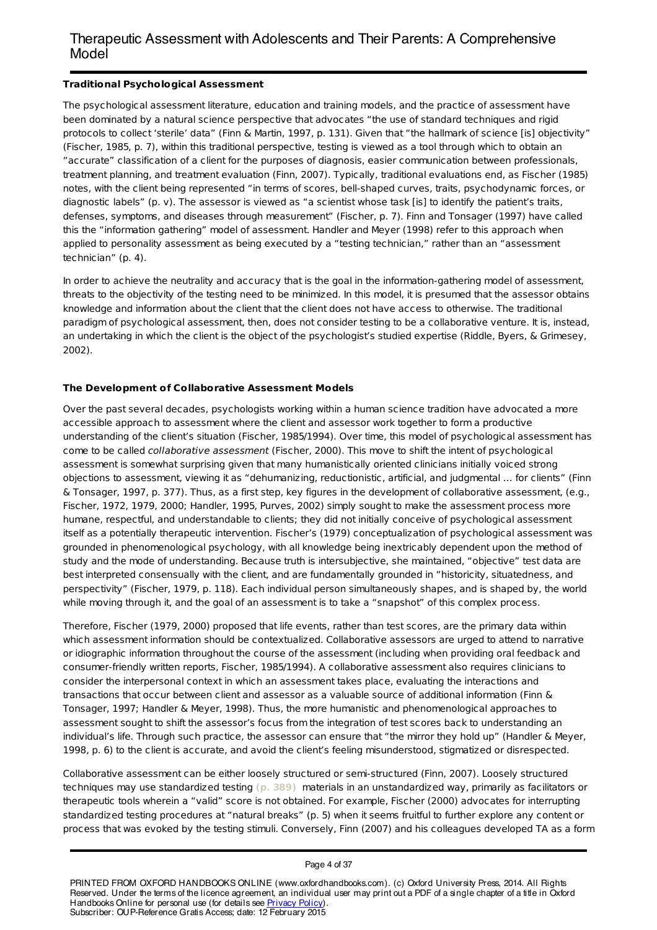### **Traditional Psychological Assessment**

The psychological assessment literature, education and training models, and the practice of assessment have been dominated by a natural science perspective that advocates "the use of standard techniques and rigid protocols to collect 'sterile' data" (Finn & Martin, 1997, p. 131). Given that "the hallmark of science [is] objectivity" (Fischer, 1985, p. 7), within this traditional perspective, testing is viewed as a tool through which to obtain an "accurate" classification of a client for the purposes of diagnosis, easier communication between professionals, treatment planning, and treatment evaluation (Finn, 2007). Typically, traditional evaluations end, as Fischer (1985) notes, with the client being represented "in terms of scores, bell-shaped curves, traits, psychodynamic forces, or diagnostic labels" (p. v). The assessor is viewed as "a scientist whose task [is] to identify the patient's traits, defenses, symptoms, and diseases through measurement" (Fischer, p. 7). Finn and Tonsager (1997) have called this the "information gathering" model of assessment. Handler and Meyer (1998) refer to this approach when applied to personality assessment as being executed by a "testing technician," rather than an "assessment technician" (p. 4).

In order to achieve the neutrality and accuracy that is the goal in the information-gathering model of assessment, threats to the objectivity of the testing need to be minimized. In this model, it is presumed that the assessor obtains knowledge and information about the client that the client does not have access to otherwise. The traditional paradigm of psychological assessment, then, does not consider testing to be a collaborative venture. It is, instead, an undertaking in which the client is the object of the psychologist's studied expertise (Riddle, Byers, & Grimesey, 2002).

### **The Development of Collaborative Assessment Models**

Over the past several decades, psychologists working within a human science tradition have advocated a more accessible approach to assessment where the client and assessor work together to form a productive understanding of the client's situation (Fischer, 1985/1994). Over time, this model of psychological assessment has come to be called collaborative assessment (Fischer, 2000). This move to shift the intent of psychological assessment is somewhat surprising given that many humanistically oriented clinicians initially voiced strong objections to assessment, viewing it as "dehumanizing, reductionistic, artificial, and judgmental … for clients" (Finn & Tonsager, 1997, p. 377). Thus, as a first step, key figures in the development of collaborative assessment, (e.g., Fischer, 1972, 1979, 2000; Handler, 1995, Purves, 2002) simply sought to make the assessment process more humane, respectful, and understandable to clients; they did not initially conceive of psychological assessment itself as a potentially therapeutic intervention. Fischer's (1979) conceptualization of psychological assessment was grounded in phenomenological psychology, with all knowledge being inextricably dependent upon the method of study and the mode of understanding. Because truth is intersubjective, she maintained, "objective" test data are best interpreted consensually with the client, and are fundamentally grounded in "historicity, situatedness, and perspectivity" (Fischer, 1979, p. 118). Each individual person simultaneously shapes, and is shaped by, the world while moving through it, and the goal of an assessment is to take a "snapshot" of this complex process.

Therefore, Fischer (1979, 2000) proposed that life events, rather than test scores, are the primary data within which assessment information should be contextualized. Collaborative assessors are urged to attend to narrative or idiographic information throughout the course of the assessment (including when providing oral feedback and consumer-friendly written reports, Fischer, 1985/1994). A collaborative assessment also requires clinicians to consider the interpersonal context in which an assessment takes place, evaluating the interactions and transactions that occur between client and assessor as a valuable source of additional information (Finn & Tonsager, 1997; Handler & Meyer, 1998). Thus, the more humanistic and phenomenological approaches to assessment sought to shift the assessor's focus from the integration of test scores back to understanding an individual's life. Through such practice, the assessor can ensure that "the mirror they hold up" (Handler & Meyer, 1998, p. 6) to the client is accurate, and avoid the client's feeling misunderstood, stigmatized or disrespected.

Collaborative assessment can be either loosely structured or semi-structured (Finn, 2007). Loosely structured techniques may use standardized testing **(p. 389)** materials in an unstandardized way, primarily as facilitators or therapeutic tools wherein a "valid" score is not obtained. For example, Fischer (2000) advocates for interrupting standardized testing procedures at "natural breaks" (p. 5) when it seems fruitful to further explore any content or process that was evoked by the testing stimuli. Conversely, Finn (2007) and his colleagues developed TA as a form

#### Page 4 of 37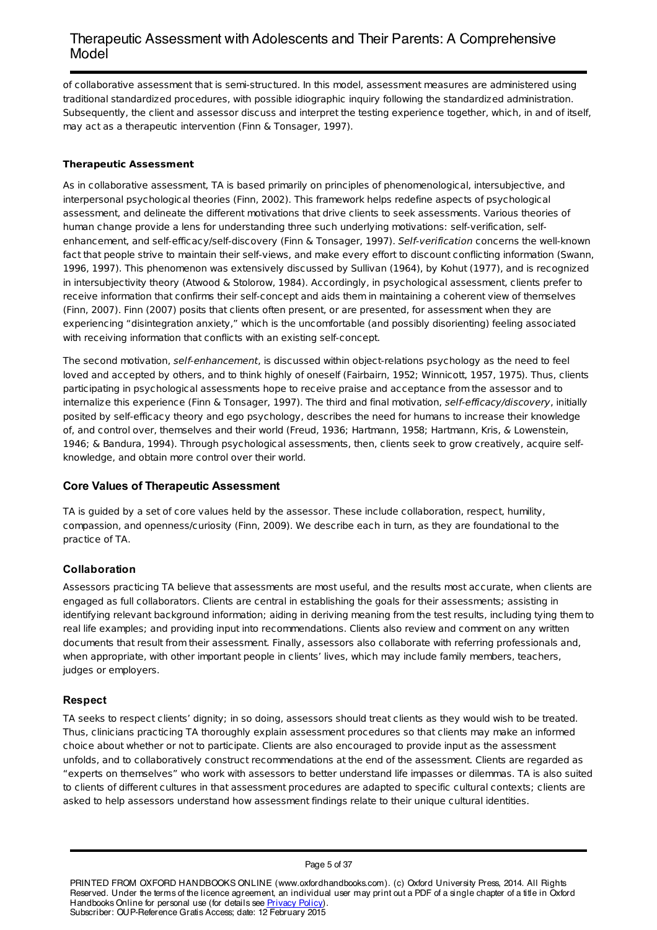of collaborative assessment that is semi-structured. In this model, assessment measures are administered using traditional standardized procedures, with possible idiographic inquiry following the standardized administration. Subsequently, the client and assessor discuss and interpret the testing experience together, which, in and of itself, may act as a therapeutic intervention (Finn & Tonsager, 1997).

## **Therapeutic Assessment**

As in collaborative assessment, TA is based primarily on principles of phenomenological, intersubjective, and interpersonal psychological theories (Finn, 2002). This framework helps redefine aspects of psychological assessment, and delineate the different motivations that drive clients to seek assessments. Various theories of human change provide a lens for understanding three such underlying motivations: self-verification, selfenhancement, and self-efficacy/self-discovery (Finn & Tonsager, 1997). Self-verification concerns the well-known fact that people strive to maintain their self-views, and make every effort to discount conflicting information (Swann, 1996, 1997). This phenomenon was extensively discussed by Sullivan (1964), by Kohut (1977), and is recognized in intersubjectivity theory (Atwood & Stolorow, 1984). Accordingly, in psychological assessment, clients prefer to receive information that confirms their self-concept and aids them in maintaining a coherent view of themselves (Finn, 2007). Finn (2007) posits that clients often present, or are presented, for assessment when they are experiencing "disintegration anxiety," which is the uncomfortable (and possibly disorienting) feeling associated with receiving information that conflicts with an existing self-concept.

The second motivation, self-enhancement, is discussed within object-relations psychology as the need to feel loved and accepted by others, and to think highly of oneself (Fairbairn, 1952; Winnicott, 1957, 1975). Thus, clients participating in psychological assessments hope to receive praise and acceptance from the assessor and to internalize this experience (Finn & Tonsager, 1997). The third and final motivation, self-efficacy/discovery, initially posited by self-efficacy theory and ego psychology, describes the need for humans to increase their knowledge of, and control over, themselves and their world (Freud, 1936; Hartmann, 1958; Hartmann, Kris, & Lowenstein, 1946; & Bandura, 1994). Through psychological assessments, then, clients seek to grow creatively, acquire selfknowledge, and obtain more control over their world.

## **Core Values of Therapeutic Assessment**

TA is guided by a set of core values held by the assessor. These include collaboration, respect, humility, compassion, and openness/curiosity (Finn, 2009). We describe each in turn, as they are foundational to the practice of TA.

# **Collaboration**

Assessors practicing TA believe that assessments are most useful, and the results most accurate, when clients are engaged as full collaborators. Clients are central in establishing the goals for their assessments; assisting in identifying relevant background information; aiding in deriving meaning from the test results, including tying them to real life examples; and providing input into recommendations. Clients also review and comment on any written documents that result from their assessment. Finally, assessors also collaborate with referring professionals and, when appropriate, with other important people in clients' lives, which may include family members, teachers, judges or employers.

## **Respect**

TA seeks to respect clients' dignity; in so doing, assessors should treat clients as they would wish to be treated. Thus, clinicians practicing TA thoroughly explain assessment procedures so that clients may make an informed choice about whether or not to participate. Clients are also encouraged to provide input as the assessment unfolds, and to collaboratively construct recommendations at the end of the assessment. Clients are regarded as "experts on themselves" who work with assessors to better understand life impasses or dilemmas. TA is also suited to clients of different cultures in that assessment procedures are adapted to specific cultural contexts; clients are asked to help assessors understand how assessment findings relate to their unique cultural identities.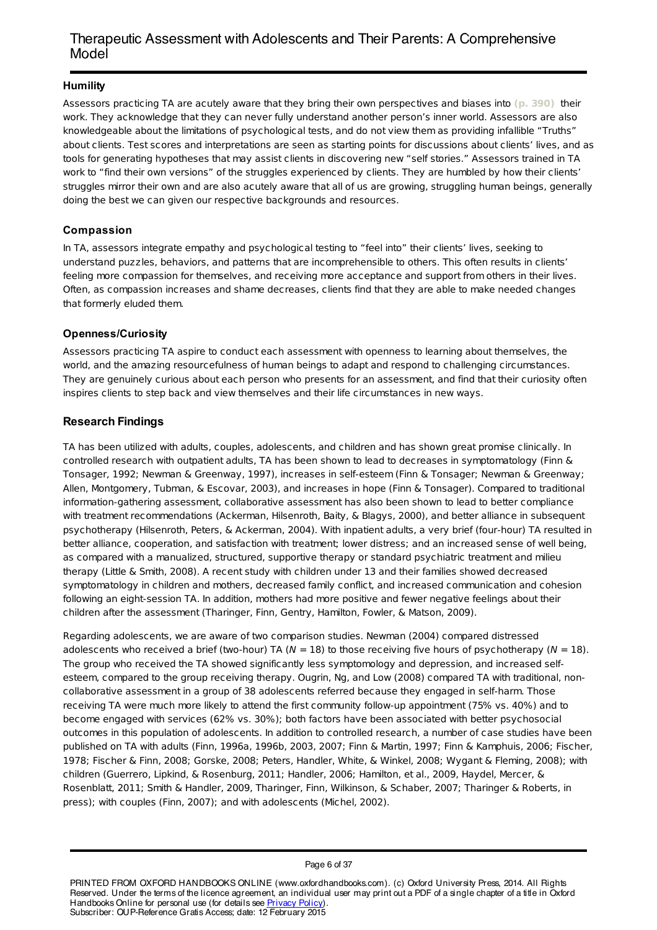## **Humility**

Assessors practicing TA are acutely aware that they bring their own perspectives and biases into **(p. 390)** their work. They acknowledge that they can never fully understand another person's inner world. Assessors are also knowledgeable about the limitations of psychological tests, and do not view them as providing infallible "Truths" about clients. Test scores and interpretations are seen as starting points for discussions about clients' lives, and as tools for generating hypotheses that may assist clients in discovering new "self stories." Assessors trained in TA work to "find their own versions" of the struggles experienced by clients. They are humbled by how their clients' struggles mirror their own and are also acutely aware that all of us are growing, struggling human beings, generally doing the best we can given our respective backgrounds and resources.

## **Compassion**

In TA, assessors integrate empathy and psychological testing to "feel into" their clients' lives, seeking to understand puzzles, behaviors, and patterns that are incomprehensible to others. This often results in clients' feeling more compassion for themselves, and receiving more acceptance and support from others in their lives. Often, as compassion increases and shame decreases, clients find that they are able to make needed changes that formerly eluded them.

## **Openness/Curiosity**

Assessors practicing TA aspire to conduct each assessment with openness to learning about themselves, the world, and the amazing resourcefulness of human beings to adapt and respond to challenging circumstances. They are genuinely curious about each person who presents for an assessment, and find that their curiosity often inspires clients to step back and view themselves and their life circumstances in new ways.

## **Research Findings**

TA has been utilized with adults, couples, adolescents, and children and has shown great promise clinically. In controlled research with outpatient adults, TA has been shown to lead to decreases in symptomatology (Finn & Tonsager, 1992; Newman & Greenway, 1997), increases in self-esteem (Finn & Tonsager; Newman & Greenway; Allen, Montgomery, Tubman, & Escovar, 2003), and increases in hope (Finn & Tonsager). Compared to traditional information-gathering assessment, collaborative assessment has also been shown to lead to better compliance with treatment recommendations (Ackerman, Hilsenroth, Baity, & Blagys, 2000), and better alliance in subsequent psychotherapy (Hilsenroth, Peters, & Ackerman, 2004). With inpatient adults, a very brief (four-hour) TA resulted in better alliance, cooperation, and satisfaction with treatment; lower distress; and an increased sense of well being, as compared with a manualized, structured, supportive therapy or standard psychiatric treatment and milieu therapy (Little & Smith, 2008). A recent study with children under 13 and their families showed decreased symptomatology in children and mothers, decreased family conflict, and increased communication and cohesion following an eight-session TA. In addition, mothers had more positive and fewer negative feelings about their children after the assessment (Tharinger, Finn, Gentry, Hamilton, Fowler, & Matson, 2009).

Regarding adolescents, we are aware of two comparison studies. Newman (2004) compared distressed adolescents who received a brief (two-hour) TA ( $N = 18$ ) to those receiving five hours of psychotherapy ( $N = 18$ ). The group who received the TA showed significantly less symptomology and depression, and increased selfesteem, compared to the group receiving therapy. Ougrin, Ng, and Low (2008) compared TA with traditional, noncollaborative assessment in a group of 38 adolescents referred because they engaged in self-harm. Those receiving TA were much more likely to attend the first community follow-up appointment (75% vs. 40%) and to become engaged with services (62% vs. 30%); both factors have been associated with better psychosocial outcomes in this population of adolescents. In addition to controlled research, a number of case studies have been published on TA with adults (Finn, 1996a, 1996b, 2003, 2007; Finn & Martin, 1997; Finn & Kamphuis, 2006; Fischer, 1978; Fischer & Finn, 2008; Gorske, 2008; Peters, Handler, White, & Winkel, 2008; Wygant & Fleming, 2008); with children (Guerrero, Lipkind, & Rosenburg, 2011; Handler, 2006; Hamilton, et al., 2009, Haydel, Mercer, & Rosenblatt, 2011; Smith & Handler, 2009, Tharinger, Finn, Wilkinson, & Schaber, 2007; Tharinger & Roberts, in press); with couples (Finn, 2007); and with adolescents (Michel, 2002).

#### Page 6 of 37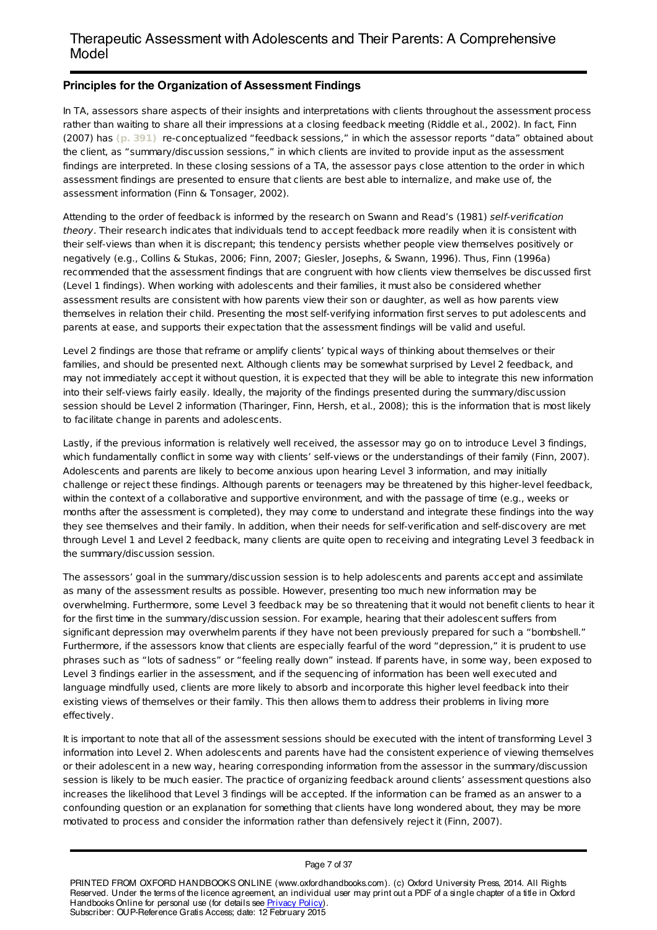## **Principles for the Organization of Assessment Findings**

In TA, assessors share aspects of their insights and interpretations with clients throughout the assessment process rather than waiting to share all their impressions at a closing feedback meeting (Riddle et al., 2002). In fact, Finn (2007) has **(p. 391)** re-conceptualized "feedback sessions," in which the assessor reports "data" obtained about the client, as "summary/discussion sessions," in which clients are invited to provide input as the assessment findings are interpreted. In these closing sessions of a TA, the assessor pays close attention to the order in which assessment findings are presented to ensure that clients are best able to internalize, and make use of, the assessment information (Finn & Tonsager, 2002).

Attending to the order of feedback is informed by the research on Swann and Read's (1981) self-verification theory. Their research indicates that individuals tend to accept feedback more readily when it is consistent with their self-views than when it is discrepant; this tendency persists whether people view themselves positively or negatively (e.g., Collins & Stukas, 2006; Finn, 2007; Giesler, Josephs, & Swann, 1996). Thus, Finn (1996a) recommended that the assessment findings that are congruent with how clients view themselves be discussed first (Level 1 findings). When working with adolescents and their families, it must also be considered whether assessment results are consistent with how parents view their son or daughter, as well as how parents view themselves in relation their child. Presenting the most self-verifying information first serves to put adolescents and parents at ease, and supports their expectation that the assessment findings will be valid and useful.

Level 2 findings are those that reframe or amplify clients' typical ways of thinking about themselves or their families, and should be presented next. Although clients may be somewhat surprised by Level 2 feedback, and may not immediately accept it without question, it is expected that they will be able to integrate this new information into their self-views fairly easily. Ideally, the majority of the findings presented during the summary/discussion session should be Level 2 information (Tharinger, Finn, Hersh, et al., 2008); this is the information that is most likely to facilitate change in parents and adolescents.

Lastly, if the previous information is relatively well received, the assessor may go on to introduce Level 3 findings, which fundamentally conflict in some way with clients' self-views or the understandings of their family (Finn, 2007). Adolescents and parents are likely to become anxious upon hearing Level 3 information, and may initially challenge or reject these findings. Although parents or teenagers may be threatened by this higher-level feedback, within the context of a collaborative and supportive environment, and with the passage of time (e.g., weeks or months after the assessment is completed), they may come to understand and integrate these findings into the way they see themselves and their family. In addition, when their needs for self-verification and self-discovery are met through Level 1 and Level 2 feedback, many clients are quite open to receiving and integrating Level 3 feedback in the summary/discussion session.

The assessors' goal in the summary/discussion session is to help adolescents and parents accept and assimilate as many of the assessment results as possible. However, presenting too much new information may be overwhelming. Furthermore, some Level 3 feedback may be so threatening that it would not benefit clients to hear it for the first time in the summary/discussion session. For example, hearing that their adolescent suffers from significant depression may overwhelm parents if they have not been previously prepared for such a "bombshell." Furthermore, if the assessors know that clients are especially fearful of the word "depression," it is prudent to use phrases such as "lots of sadness" or "feeling really down" instead. If parents have, in some way, been exposed to Level 3 findings earlier in the assessment, and if the sequencing of information has been well executed and language mindfully used, clients are more likely to absorb and incorporate this higher level feedback into their existing views of themselves or their family. This then allows them to address their problems in living more effectively.

It is important to note that all of the assessment sessions should be executed with the intent of transforming Level 3 information into Level 2. When adolescents and parents have had the consistent experience of viewing themselves or their adolescent in a new way, hearing corresponding information from the assessor in the summary/discussion session is likely to be much easier. The practice of organizing feedback around clients' assessment questions also increases the likelihood that Level 3 findings will be accepted. If the information can be framed as an answer to a confounding question or an explanation for something that clients have long wondered about, they may be more motivated to process and consider the information rather than defensively reject it (Finn, 2007).

#### Page 7 of 37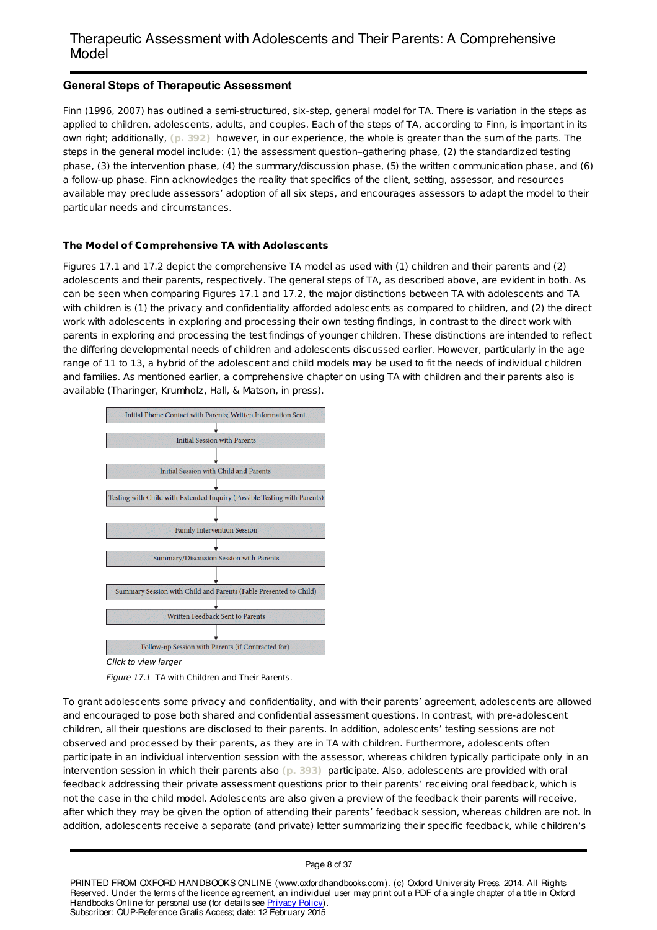## **General Steps of Therapeutic Assessment**

Finn (1996, 2007) has outlined a semi-structured, six-step, general model for TA. There is variation in the steps as applied to children, adolescents, adults, and couples. Each of the steps of TA, according to Finn, is important in its own right; additionally, **(p. 392)** however, in our experience, the whole is greater than the sum of the parts. The steps in the general model include: (1) the assessment question–gathering phase, (2) the standardized testing phase, (3) the intervention phase, (4) the summary/discussion phase, (5) the written communication phase, and (6) a follow-up phase. Finn acknowledges the reality that specifics of the client, setting, assessor, and resources available may preclude assessors' adoption of all six steps, and encourages assessors to adapt the model to their particular needs and circumstances.

### **The Model of Comprehensive TA with Adolescents**

Figures 17.1 and 17.2 depict the comprehensive TA model as used with (1) children and their parents and (2) adolescents and their parents, respectively. The general steps of TA, as described above, are evident in both. As can be seen when comparing Figures 17.1 and 17.2, the major distinctions between TA with adolescents and TA with children is (1) the privacy and confidentiality afforded adolescents as compared to children, and (2) the direct work with adolescents in exploring and processing their own testing findings, in contrast to the direct work with parents in exploring and processing the test findings of younger children. These distinctions are intended to reflect the differing developmental needs of children and adolescents discussed earlier. However, particularly in the age range of 11 to 13, a hybrid of the adolescent and child models may be used to fit the needs of individual children and families. As mentioned earlier, a comprehensive chapter on using TA with children and their parents also is available (Tharinger, Krumholz, Hall, & Matson, in press).



Figure 17.1 TA with Children and Their Parents.

To grant adolescents some privacy and confidentiality, and with their parents' agreement, adolescents are allowed and encouraged to pose both shared and confidential assessment questions. In contrast, with pre-adolescent children, all their questions are disclosed to their parents. In addition, adolescents' testing sessions are not observed and processed by their parents, as they are in TA with children. Furthermore, adolescents often participate in an individual intervention session with the assessor, whereas children typically participate only in an intervention session in which their parents also **(p. 393)** participate. Also, adolescents are provided with oral feedback addressing their private assessment questions prior to their parents' receiving oral feedback, which is not the case in the child model. Adolescents are also given a preview of the feedback their parents will receive, after which they may be given the option of attending their parents' feedback session, whereas children are not. In addition, adolescents receive a separate (and private) letter summarizing their specific feedback, while children's

Page 8 of 37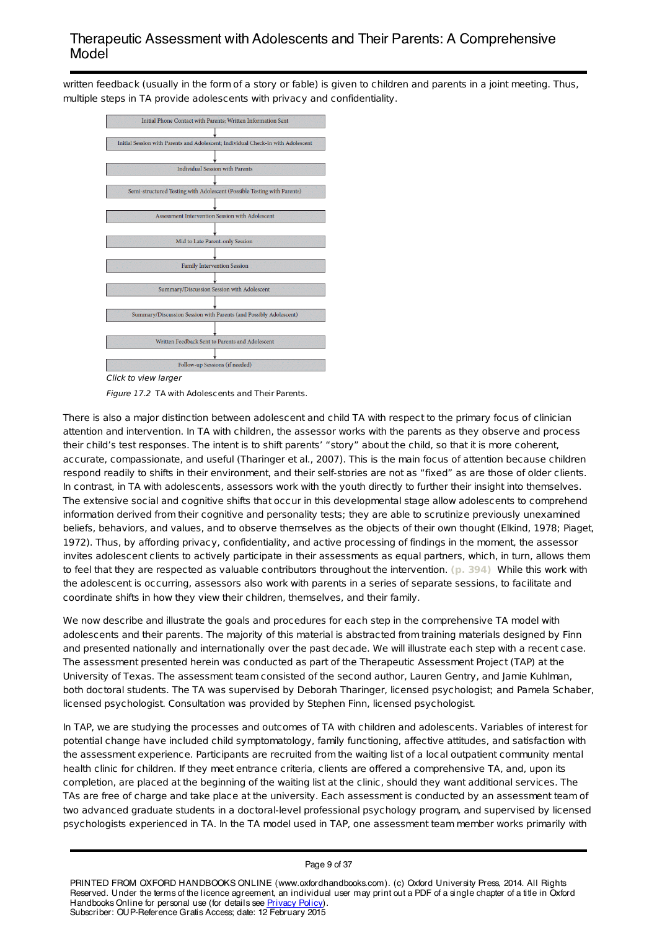written feedback (usually in the form of a story or fable) is given to children and parents in a joint meeting. Thus, multiple steps in TA provide adolescents with privacy and confidentiality.



Figure 17.2 TA with Adolescents and Their Parents.

There is also a major distinction between adolescent and child TA with respect to the primary focus of clinician attention and intervention. In TA with children, the assessor works with the parents as they observe and process their child's test responses. The intent is to shift parents' "story" about the child, so that it is more coherent, accurate, compassionate, and useful (Tharinger et al., 2007). This is the main focus of attention because children respond readily to shifts in their environment, and their self-stories are not as "fixed" as are those of older clients. In contrast, in TA with adolescents, assessors work with the youth directly to further their insight into themselves. The extensive social and cognitive shifts that occur in this developmental stage allow adolescents to comprehend information derived from their cognitive and personality tests; they are able to scrutinize previously unexamined beliefs, behaviors, and values, and to observe themselves as the objects of their own thought (Elkind, 1978; Piaget, 1972). Thus, by affording privacy, confidentiality, and active processing of findings in the moment, the assessor invites adolescent clients to actively participate in their assessments as equal partners, which, in turn, allows them to feel that they are respected as valuable contributors throughout the intervention. **(p. 394)** While this work with the adolescent is occurring, assessors also work with parents in a series of separate sessions, to facilitate and coordinate shifts in how they view their children, themselves, and their family.

We now describe and illustrate the goals and procedures for each step in the comprehensive TA model with adolescents and their parents. The majority of this material is abstracted from training materials designed by Finn and presented nationally and internationally over the past decade. We will illustrate each step with a recent case. The assessment presented herein was conducted as part of the Therapeutic Assessment Project (TAP) at the University of Texas. The assessment team consisted of the second author, Lauren Gentry, and Jamie Kuhlman, both doctoral students. The TA was supervised by Deborah Tharinger, licensed psychologist; and Pamela Schaber, licensed psychologist. Consultation was provided by Stephen Finn, licensed psychologist.

In TAP, we are studying the processes and outcomes of TA with children and adolescents. Variables of interest for potential change have included child symptomatology, family functioning, affective attitudes, and satisfaction with the assessment experience. Participants are recruited from the waiting list of a local outpatient community mental health clinic for children. If they meet entrance criteria, clients are offered a comprehensive TA, and, upon its completion, are placed at the beginning of the waiting list at the clinic, should they want additional services. The TAs are free of charge and take place at the university. Each assessment is conducted by an assessment team of two advanced graduate students in a doctoral-level professional psychology program, and supervised by licensed psychologists experienced in TA. In the TA model used in TAP, one assessment team member works primarily with

#### Page 9 of 37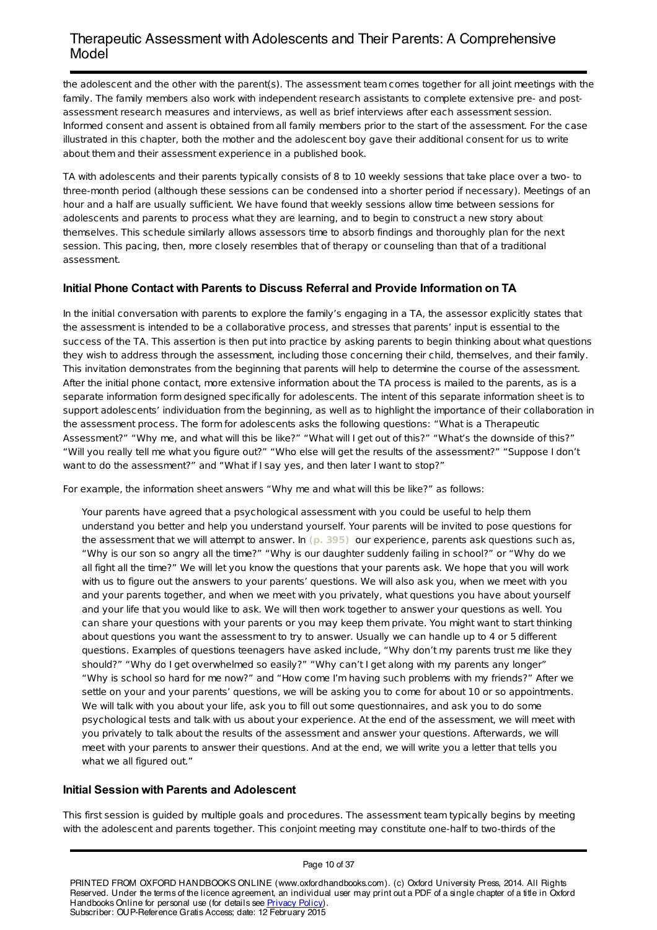the adolescent and the other with the parent(s). The assessment team comes together for all joint meetings with the family. The family members also work with independent research assistants to complete extensive pre- and postassessment research measures and interviews, as well as brief interviews after each assessment session. Informed consent and assent is obtained from all family members prior to the start of the assessment. For the case illustrated in this chapter, both the mother and the adolescent boy gave their additional consent for us to write about them and their assessment experience in a published book.

TA with adolescents and their parents typically consists of 8 to 10 weekly sessions that take place over a two- to three-month period (although these sessions can be condensed into a shorter period if necessary). Meetings of an hour and a half are usually sufficient. We have found that weekly sessions allow time between sessions for adolescents and parents to process what they are learning, and to begin to construct a new story about themselves. This schedule similarly allows assessors time to absorb findings and thoroughly plan for the next session. This pacing, then, more closely resembles that of therapy or counseling than that of a traditional assessment.

## **Initial Phone Contact with Parents to Discuss Referral and Provide Information on TA**

In the initial conversation with parents to explore the family's engaging in a TA, the assessor explicitly states that the assessment is intended to be a collaborative process, and stresses that parents' input is essential to the success of the TA. This assertion is then put into practice by asking parents to begin thinking about what questions they wish to address through the assessment, including those concerning their child, themselves, and their family. This invitation demonstrates from the beginning that parents will help to determine the course of the assessment. After the initial phone contact, more extensive information about the TA process is mailed to the parents, as is a separate information form designed specifically for adolescents. The intent of this separate information sheet is to support adolescents' individuation from the beginning, as well as to highlight the importance of their collaboration in the assessment process. The form for adolescents asks the following questions: "What is a Therapeutic Assessment?" "Why me, and what will this be like?" "What will I get out of this?" "What's the downside of this?" "Will you really tell me what you figure out?" "Who else will get the results of the assessment?" "Suppose I don't want to do the assessment?" and "What if I say yes, and then later I want to stop?"

For example, the information sheet answers "Why me and what will this be like?" as follows:

Your parents have agreed that a psychological assessment with you could be useful to help them understand you better and help you understand yourself. Your parents will be invited to pose questions for the assessment that we will attempt to answer. In **(p. 395)** our experience, parents ask questions such as, "Why is our son so angry all the time?" "Why is our daughter suddenly failing in school?" or "Why do we all fight all the time?" We will let you know the questions that your parents ask. We hope that you will work with us to figure out the answers to your parents' questions. We will also ask you, when we meet with you and your parents together, and when we meet with you privately, what questions you have about yourself and your life that you would like to ask. We will then work together to answer your questions as well. You can share your questions with your parents or you may keep them private. You might want to start thinking about questions you want the assessment to try to answer. Usually we can handle up to 4 or 5 different questions. Examples of questions teenagers have asked include, "Why don't my parents trust me like they should?" "Why do I get overwhelmed so easily?" "Why can't I get along with my parents any longer" "Why is school so hard for me now?" and "How come I'm having such problems with my friends?" After we settle on your and your parents' questions, we will be asking you to come for about 10 or so appointments. We will talk with you about your life, ask you to fill out some questionnaires, and ask you to do some psychological tests and talk with us about your experience. At the end of the assessment, we will meet with you privately to talk about the results of the assessment and answer your questions. Afterwards, we will meet with your parents to answer their questions. And at the end, we will write you a letter that tells you what we all figured out."

# **Initial Session with Parents and Adolescent**

This first session is guided by multiple goals and procedures. The assessment team typically begins by meeting with the adolescent and parents together. This conjoint meeting may constitute one-half to two-thirds of the

PRINTED FROM OXFORD HANDBOOKS ONLINE (www.oxfordhandbooks.com). (c) Oxford University Press, 2014. All Rights Reserved. Under the terms of the licence agreement, an individual user may print out a PDF of a single chapter of a title in Oxford Handbooks Online for personal use (for details see Privacy Policy). Subscriber: OUP-Reference Gratis Access; date: 12 February 2015

Page 10 of 37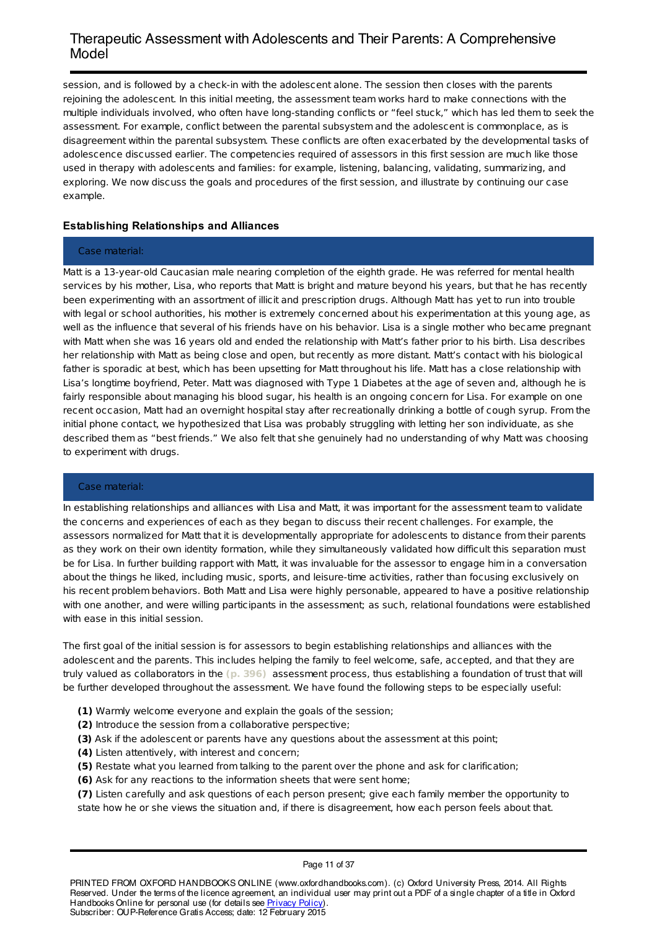session, and is followed by a check-in with the adolescent alone. The session then closes with the parents rejoining the adolescent. In this initial meeting, the assessment team works hard to make connections with the multiple individuals involved, who often have long-standing conflicts or "feel stuck," which has led them to seek the assessment. For example, conflict between the parental subsystem and the adolescent is commonplace, as is disagreement within the parental subsystem. These conflicts are often exacerbated by the developmental tasks of adolescence discussed earlier. The competencies required of assessors in this first session are much like those used in therapy with adolescents and families: for example, listening, balancing, validating, summarizing, and exploring. We now discuss the goals and procedures of the first session, and illustrate by continuing our case example.

### **Establishing Relationships and Alliances**

### Case material:

Matt is a 13-year-old Caucasian male nearing completion of the eighth grade. He was referred for mental health services by his mother, Lisa, who reports that Matt is bright and mature beyond his years, but that he has recently been experimenting with an assortment of illicit and prescription drugs. Although Matt has yet to run into trouble with legal or school authorities, his mother is extremely concerned about his experimentation at this young age, as well as the influence that several of his friends have on his behavior. Lisa is a single mother who became pregnant with Matt when she was 16 years old and ended the relationship with Matt's father prior to his birth. Lisa describes her relationship with Matt as being close and open, but recently as more distant. Matt's contact with his biological father is sporadic at best, which has been upsetting for Matt throughout his life. Matt has a close relationship with Lisa's longtime boyfriend, Peter. Matt was diagnosed with Type 1 Diabetes at the age of seven and, although he is fairly responsible about managing his blood sugar, his health is an ongoing concern for Lisa. For example on one recent occasion, Matt had an overnight hospital stay after recreationally drinking a bottle of cough syrup. From the initial phone contact, we hypothesized that Lisa was probably struggling with letting her son individuate, as she described them as "best friends." We also felt that she genuinely had no understanding of why Matt was choosing to experiment with drugs.

### Case material:

In establishing relationships and alliances with Lisa and Matt, it was important for the assessment team to validate the concerns and experiences of each as they began to discuss their recent challenges. For example, the assessors normalized for Matt that it is developmentally appropriate for adolescents to distance from their parents as they work on their own identity formation, while they simultaneously validated how difficult this separation must be for Lisa. In further building rapport with Matt, it was invaluable for the assessor to engage him in a conversation about the things he liked, including music, sports, and leisure-time activities, rather than focusing exclusively on his recent problem behaviors. Both Matt and Lisa were highly personable, appeared to have a positive relationship with one another, and were willing participants in the assessment; as such, relational foundations were established with ease in this initial session.

The first goal of the initial session is for assessors to begin establishing relationships and alliances with the adolescent and the parents. This includes helping the family to feel welcome, safe, accepted, and that they are truly valued as collaborators in the **(p. 396)** assessment process, thus establishing a foundation of trust that will be further developed throughout the assessment. We have found the following steps to be especially useful:

- **(1)** Warmly welcome everyone and explain the goals of the session;
- **(2)** Introduce the session from a collaborative perspective;
- **(3)** Ask if the adolescent or parents have any questions about the assessment at this point;
- **(4)** Listen attentively, with interest and concern;
- **(5)** Restate what you learned from talking to the parent over the phone and ask for clarification;
- **(6)** Ask for any reactions to the information sheets that were sent home;

**(7)** Listen carefully and ask questions of each person present; give each family member the opportunity to state how he or she views the situation and, if there is disagreement, how each person feels about that.

Page 11 of 37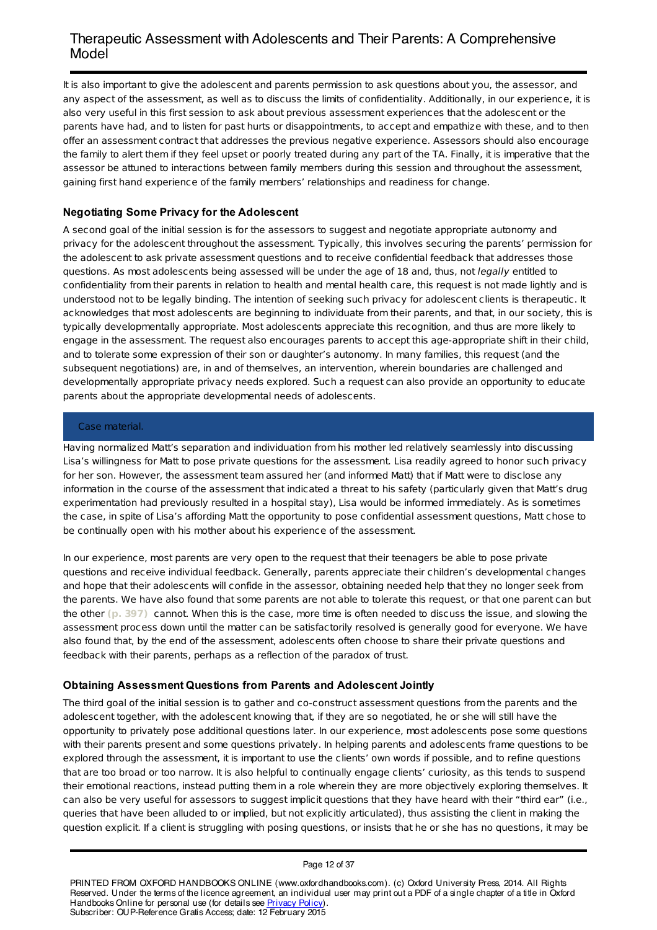It is also important to give the adolescent and parents permission to ask questions about you, the assessor, and any aspect of the assessment, as well as to discuss the limits of confidentiality. Additionally, in our experience, it is also very useful in this first session to ask about previous assessment experiences that the adolescent or the parents have had, and to listen for past hurts or disappointments, to accept and empathize with these, and to then offer an assessment contract that addresses the previous negative experience. Assessors should also encourage the family to alert them if they feel upset or poorly treated during any part of the TA. Finally, it is imperative that the assessor be attuned to interactions between family members during this session and throughout the assessment, gaining first hand experience of the family members' relationships and readiness for change.

## **Negotiating Some Privacy for the Adolescent**

A second goal of the initial session is for the assessors to suggest and negotiate appropriate autonomy and privacy for the adolescent throughout the assessment. Typically, this involves securing the parents' permission for the adolescent to ask private assessment questions and to receive confidential feedback that addresses those questions. As most adolescents being assessed will be under the age of 18 and, thus, not legally entitled to confidentiality from their parents in relation to health and mental health care, this request is not made lightly and is understood not to be legally binding. The intention of seeking such privacy for adolescent clients is therapeutic. It acknowledges that most adolescents are beginning to individuate from their parents, and that, in our society, this is typically developmentally appropriate. Most adolescents appreciate this recognition, and thus are more likely to engage in the assessment. The request also encourages parents to accept this age-appropriate shift in their child, and to tolerate some expression of their son or daughter's autonomy. In many families, this request (and the subsequent negotiations) are, in and of themselves, an intervention, wherein boundaries are challenged and developmentally appropriate privacy needs explored. Such a request can also provide an opportunity to educate parents about the appropriate developmental needs of adolescents.

## Case material.

Having normalized Matt's separation and individuation from his mother led relatively seamlessly into discussing Lisa's willingness for Matt to pose private questions for the assessment. Lisa readily agreed to honor such privacy for her son. However, the assessment team assured her (and informed Matt) that if Matt were to disclose any information in the course of the assessment that indicated a threat to his safety (particularly given that Matt's drug experimentation had previously resulted in a hospital stay), Lisa would be informed immediately. As is sometimes the case, in spite of Lisa's affording Matt the opportunity to pose confidential assessment questions, Matt chose to be continually open with his mother about his experience of the assessment.

In our experience, most parents are very open to the request that their teenagers be able to pose private questions and receive individual feedback. Generally, parents appreciate their children's developmental changes and hope that their adolescents will confide in the assessor, obtaining needed help that they no longer seek from the parents. We have also found that some parents are not able to tolerate this request, or that one parent can but the other **(p. 397)** cannot. When this is the case, more time is often needed to discuss the issue, and slowing the assessment process down until the matter can be satisfactorily resolved is generally good for everyone. We have also found that, by the end of the assessment, adolescents often choose to share their private questions and feedback with their parents, perhaps as a reflection of the paradox of trust.

## **Obtaining Assessment Questions from Parents and Adolescent Jointly**

The third goal of the initial session is to gather and co-construct assessment questions from the parents and the adolescent together, with the adolescent knowing that, if they are so negotiated, he or she will still have the opportunity to privately pose additional questions later. In our experience, most adolescents pose some questions with their parents present and some questions privately. In helping parents and adolescents frame questions to be explored through the assessment, it is important to use the clients' own words if possible, and to refine questions that are too broad or too narrow. It is also helpful to continually engage clients' curiosity, as this tends to suspend their emotional reactions, instead putting them in a role wherein they are more objectively exploring themselves. It can also be very useful for assessors to suggest implicit questions that they have heard with their "third ear" (i.e., queries that have been alluded to or implied, but not explicitly articulated), thus assisting the client in making the question explicit. If a client is struggling with posing questions, or insists that he or she has no questions, it may be

Page 12 of 37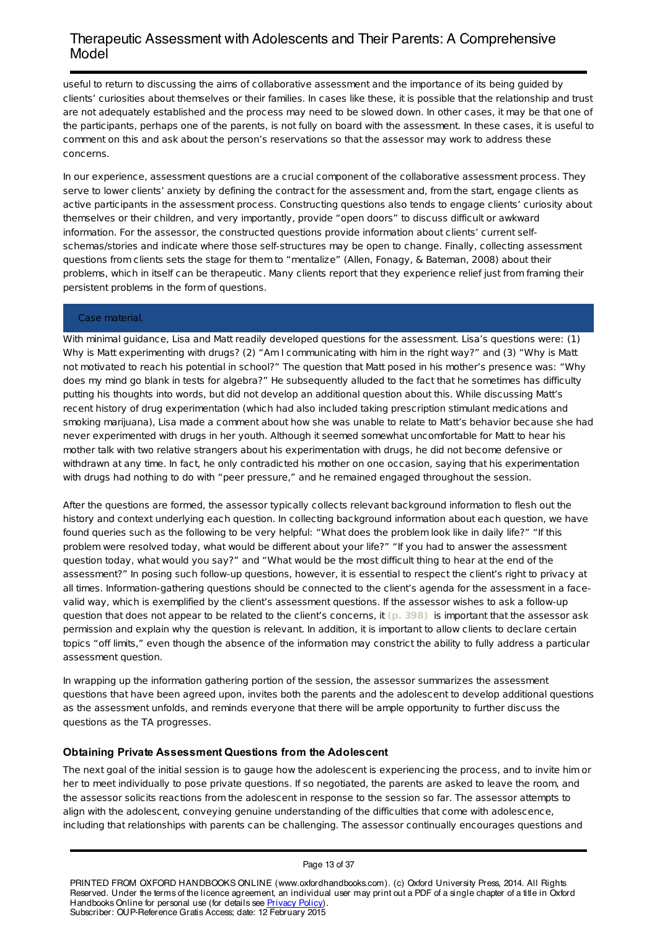useful to return to discussing the aims of collaborative assessment and the importance of its being guided by clients' curiosities about themselves or their families. In cases like these, it is possible that the relationship and trust are not adequately established and the process may need to be slowed down. In other cases, it may be that one of the participants, perhaps one of the parents, is not fully on board with the assessment. In these cases, it is useful to comment on this and ask about the person's reservations so that the assessor may work to address these concerns.

In our experience, assessment questions are a crucial component of the collaborative assessment process. They serve to lower clients' anxiety by defining the contract for the assessment and, from the start, engage clients as active participants in the assessment process. Constructing questions also tends to engage clients' curiosity about themselves or their children, and very importantly, provide "open doors" to discuss difficult or awkward information. For the assessor, the constructed questions provide information about clients' current selfschemas/stories and indicate where those self-structures may be open to change. Finally, collecting assessment questions from clients sets the stage for them to "mentalize" (Allen, Fonagy, & Bateman, 2008) about their problems, which in itself can be therapeutic. Many clients report that they experience relief just from framing their persistent problems in the form of questions.

### Case material.

With minimal guidance, Lisa and Matt readily developed questions for the assessment. Lisa's questions were: (1) Why is Matt experimenting with drugs? (2) "Am I communicating with him in the right way?" and (3) "Why is Matt not motivated to reach his potential in school?" The question that Matt posed in his mother's presence was: "Why does my mind go blank in tests for algebra?" He subsequently alluded to the fact that he sometimes has difficulty putting his thoughts into words, but did not develop an additional question about this. While discussing Matt's recent history of drug experimentation (which had also included taking prescription stimulant medications and smoking marijuana), Lisa made a comment about how she was unable to relate to Matt's behavior because she had never experimented with drugs in her youth. Although it seemed somewhat uncomfortable for Matt to hear his mother talk with two relative strangers about his experimentation with drugs, he did not become defensive or withdrawn at any time. In fact, he only contradicted his mother on one occasion, saying that his experimentation with drugs had nothing to do with "peer pressure," and he remained engaged throughout the session.

After the questions are formed, the assessor typically collects relevant background information to flesh out the history and context underlying each question. In collecting background information about each question, we have found queries such as the following to be very helpful: "What does the problem look like in daily life?" "If this problem were resolved today, what would be different about your life?" "If you had to answer the assessment question today, what would you say?" and "What would be the most difficult thing to hear at the end of the assessment?" In posing such follow-up questions, however, it is essential to respect the client's right to privacy at all times. Information-gathering questions should be connected to the client's agenda for the assessment in a facevalid way, which is exemplified by the client's assessment questions. If the assessor wishes to ask a follow-up question that does not appear to be related to the client's concerns, it **(p. 398)** is important that the assessor ask permission and explain why the question is relevant. In addition, it is important to allow clients to declare certain topics "off limits," even though the absence of the information may constrict the ability to fully address a particular assessment question.

In wrapping up the information gathering portion of the session, the assessor summarizes the assessment questions that have been agreed upon, invites both the parents and the adolescent to develop additional questions as the assessment unfolds, and reminds everyone that there will be ample opportunity to further discuss the questions as the TA progresses.

## **Obtaining Private Assessment Questions from the Adolescent**

The next goal of the initial session is to gauge how the adolescent is experiencing the process, and to invite him or her to meet individually to pose private questions. If so negotiated, the parents are asked to leave the room, and the assessor solicits reactions from the adolescent in response to the session so far. The assessor attempts to align with the adolescent, conveying genuine understanding of the difficulties that come with adolescence, including that relationships with parents can be challenging. The assessor continually encourages questions and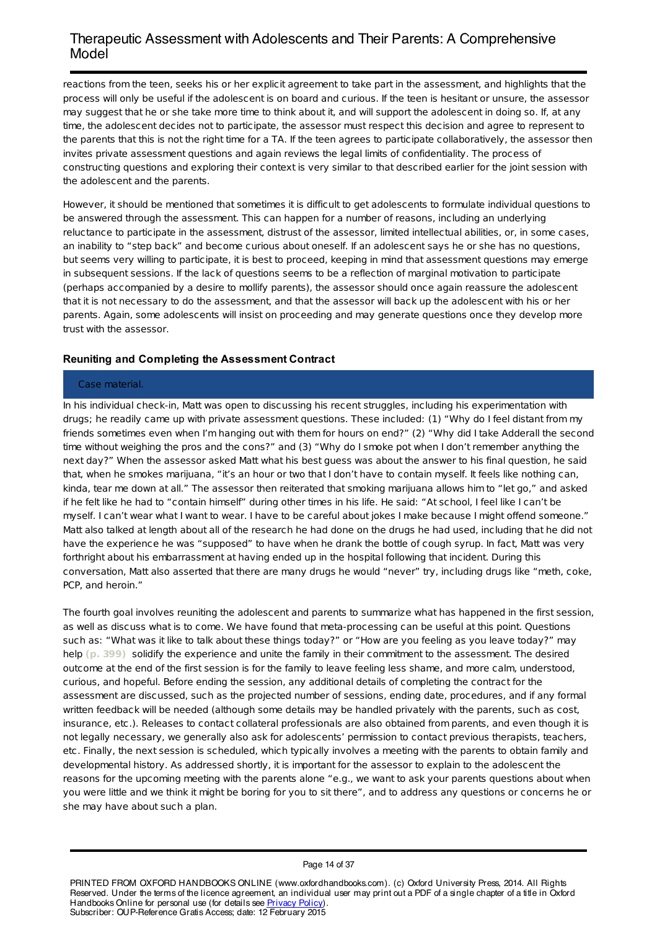reactions from the teen, seeks his or her explicit agreement to take part in the assessment, and highlights that the process will only be useful if the adolescent is on board and curious. If the teen is hesitant or unsure, the assessor may suggest that he or she take more time to think about it, and will support the adolescent in doing so. If, at any time, the adolescent decides not to participate, the assessor must respect this decision and agree to represent to the parents that this is not the right time for a TA. If the teen agrees to participate collaboratively, the assessor then invites private assessment questions and again reviews the legal limits of confidentiality. The process of constructing questions and exploring their context is very similar to that described earlier for the joint session with the adolescent and the parents.

However, it should be mentioned that sometimes it is difficult to get adolescents to formulate individual questions to be answered through the assessment. This can happen for a number of reasons, including an underlying reluctance to participate in the assessment, distrust of the assessor, limited intellectual abilities, or, in some cases, an inability to "step back" and become curious about oneself. If an adolescent says he or she has no questions, but seems very willing to participate, it is best to proceed, keeping in mind that assessment questions may emerge in subsequent sessions. If the lack of questions seems to be a reflection of marginal motivation to participate (perhaps accompanied by a desire to mollify parents), the assessor should once again reassure the adolescent that it is not necessary to do the assessment, and that the assessor will back up the adolescent with his or her parents. Again, some adolescents will insist on proceeding and may generate questions once they develop more trust with the assessor.

### **Reuniting and Completing the Assessment Contract**

### Case material.

In his individual check-in, Matt was open to discussing his recent struggles, including his experimentation with drugs; he readily came up with private assessment questions. These included: (1) "Why do I feel distant from my friends sometimes even when I'm hanging out with them for hours on end?" (2) "Why did I take Adderall the second time without weighing the pros and the cons?" and (3) "Why do I smoke pot when I don't remember anything the next day?" When the assessor asked Matt what his best guess was about the answer to his final question, he said that, when he smokes marijuana, "it's an hour or two that I don't have to contain myself. It feels like nothing can, kinda, tear me down at all." The assessor then reiterated that smoking marijuana allows him to "let go," and asked if he felt like he had to "contain himself" during other times in his life. He said: "At school, I feel like I can't be myself. I can't wear what I want to wear. I have to be careful about jokes I make because I might offend someone." Matt also talked at length about all of the research he had done on the drugs he had used, including that he did not have the experience he was "supposed" to have when he drank the bottle of cough syrup. In fact, Matt was very forthright about his embarrassment at having ended up in the hospital following that incident. During this conversation, Matt also asserted that there are many drugs he would "never" try, including drugs like "meth, coke, PCP, and heroin."

The fourth goal involves reuniting the adolescent and parents to summarize what has happened in the first session, as well as discuss what is to come. We have found that meta-processing can be useful at this point. Questions such as: "What was it like to talk about these things today?" or "How are you feeling as you leave today?" may help **(p. 399)** solidify the experience and unite the family in their commitment to the assessment. The desired outcome at the end of the first session is for the family to leave feeling less shame, and more calm, understood, curious, and hopeful. Before ending the session, any additional details of completing the contract for the assessment are discussed, such as the projected number of sessions, ending date, procedures, and if any formal written feedback will be needed (although some details may be handled privately with the parents, such as cost, insurance, etc.). Releases to contact collateral professionals are also obtained from parents, and even though it is not legally necessary, we generally also ask for adolescents' permission to contact previous therapists, teachers, etc. Finally, the next session is scheduled, which typically involves a meeting with the parents to obtain family and developmental history. As addressed shortly, it is important for the assessor to explain to the adolescent the reasons for the upcoming meeting with the parents alone "e.g., we want to ask your parents questions about when you were little and we think it might be boring for you to sit there", and to address any questions or concerns he or she may have about such a plan.

#### Page 14 of 37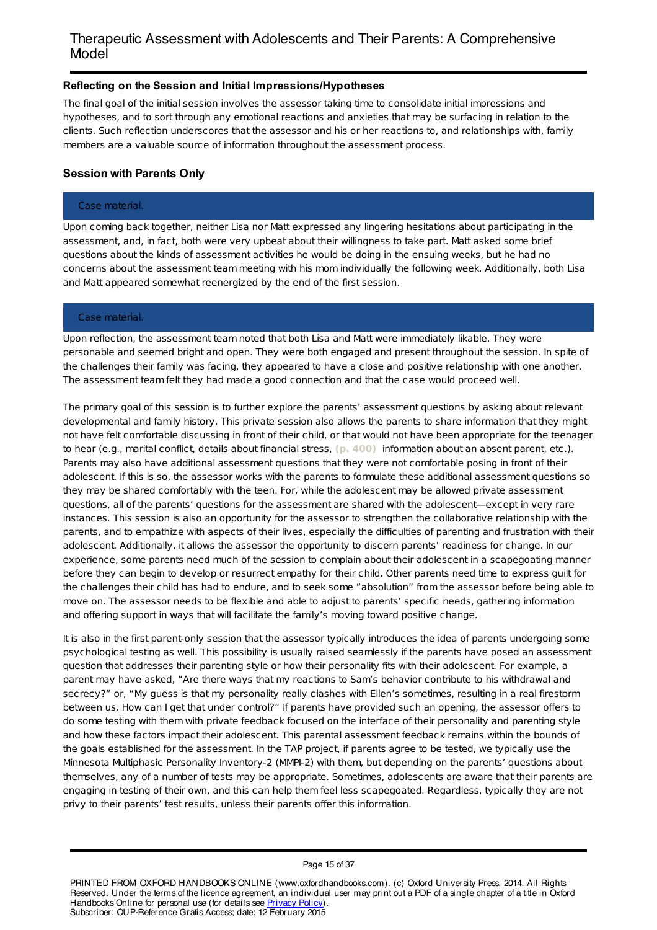### **Reflecting on the Session and Initial Impressions/Hypotheses**

The final goal of the initial session involves the assessor taking time to consolidate initial impressions and hypotheses, and to sort through any emotional reactions and anxieties that may be surfacing in relation to the clients. Such reflection underscores that the assessor and his or her reactions to, and relationships with, family members are a valuable source of information throughout the assessment process.

## **Session with Parents Only**

### Case material.

Upon coming back together, neither Lisa nor Matt expressed any lingering hesitations about participating in the assessment, and, in fact, both were very upbeat about their willingness to take part. Matt asked some brief questions about the kinds of assessment activities he would be doing in the ensuing weeks, but he had no concerns about the assessment team meeting with his mom individually the following week. Additionally, both Lisa and Matt appeared somewhat reenergized by the end of the first session.

### Case material.

Upon reflection, the assessment team noted that both Lisa and Matt were immediately likable. They were personable and seemed bright and open. They were both engaged and present throughout the session. In spite of the challenges their family was facing, they appeared to have a close and positive relationship with one another. The assessment team felt they had made a good connection and that the case would proceed well.

The primary goal of this session is to further explore the parents' assessment questions by asking about relevant developmental and family history. This private session also allows the parents to share information that they might not have felt comfortable discussing in front of their child, or that would not have been appropriate for the teenager to hear (e.g., marital conflict, details about financial stress, **(p. 400)** information about an absent parent, etc.). Parents may also have additional assessment questions that they were not comfortable posing in front of their adolescent. If this is so, the assessor works with the parents to formulate these additional assessment questions so they may be shared comfortably with the teen. For, while the adolescent may be allowed private assessment questions, all of the parents' questions for the assessment are shared with the adolescent—except in very rare instances. This session is also an opportunity for the assessor to strengthen the collaborative relationship with the parents, and to empathize with aspects of their lives, especially the difficulties of parenting and frustration with their adolescent. Additionally, it allows the assessor the opportunity to discern parents' readiness for change. In our experience, some parents need much of the session to complain about their adolescent in a scapegoating manner before they can begin to develop or resurrect empathy for their child. Other parents need time to express guilt for the challenges their child has had to endure, and to seek some "absolution" from the assessor before being able to move on. The assessor needs to be flexible and able to adjust to parents' specific needs, gathering information and offering support in ways that will facilitate the family's moving toward positive change.

It is also in the first parent-only session that the assessor typically introduces the idea of parents undergoing some psychological testing as well. This possibility is usually raised seamlessly if the parents have posed an assessment question that addresses their parenting style or how their personality fits with their adolescent. For example, a parent may have asked, "Are there ways that my reactions to Sam's behavior contribute to his withdrawal and secrecy?" or, "My guess is that my personality really clashes with Ellen's sometimes, resulting in a real firestorm between us. How can I get that under control?" If parents have provided such an opening, the assessor offers to do some testing with them with private feedback focused on the interface of their personality and parenting style and how these factors impact their adolescent. This parental assessment feedback remains within the bounds of the goals established for the assessment. In the TAP project, if parents agree to be tested, we typically use the Minnesota Multiphasic Personality Inventory-2 (MMPI-2) with them, but depending on the parents' questions about themselves, any of a number of tests may be appropriate. Sometimes, adolescents are aware that their parents are engaging in testing of their own, and this can help them feel less scapegoated. Regardless, typically they are not privy to their parents' test results, unless their parents offer this information.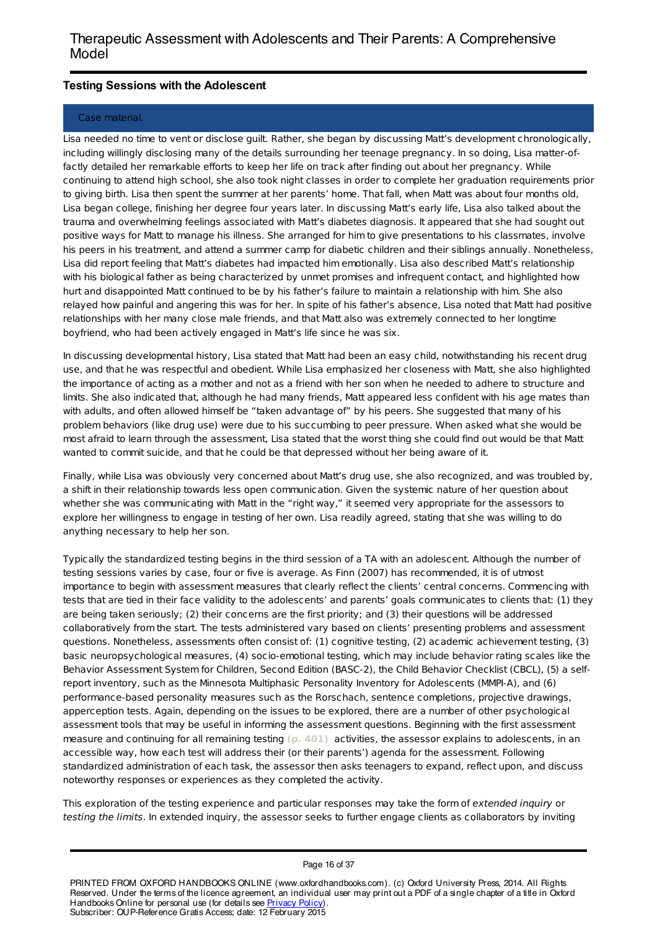## **Testing Sessions with the Adolescent**

## Case material.

Lisa needed no time to vent or disclose guilt. Rather, she began by discussing Matt's development chronologically, including willingly disclosing many of the details surrounding her teenage pregnancy. In so doing, Lisa matter-offactly detailed her remarkable efforts to keep her life on track after finding out about her pregnancy. While continuing to attend high school, she also took night classes in order to complete her graduation requirements prior to giving birth. Lisa then spent the summer at her parents' home. That fall, when Matt was about four months old, Lisa began college, finishing her degree four years later. In discussing Matt's early life, Lisa also talked about the trauma and overwhelming feelings associated with Matt's diabetes diagnosis. It appeared that she had sought out positive ways for Matt to manage his illness. She arranged for him to give presentations to his classmates, involve his peers in his treatment, and attend a summer camp for diabetic children and their siblings annually. Nonetheless, Lisa did report feeling that Matt's diabetes had impacted him emotionally. Lisa also described Matt's relationship with his biological father as being characterized by unmet promises and infrequent contact, and highlighted how hurt and disappointed Matt continued to be by his father's failure to maintain a relationship with him. She also relayed how painful and angering this was for her. In spite of his father's absence, Lisa noted that Matt had positive relationships with her many close male friends, and that Matt also was extremely connected to her longtime boyfriend, who had been actively engaged in Matt's life since he was six.

In discussing developmental history, Lisa stated that Matt had been an easy child, notwithstanding his recent drug use, and that he was respectful and obedient. While Lisa emphasized her closeness with Matt, she also highlighted the importance of acting as a mother and not as a friend with her son when he needed to adhere to structure and limits. She also indicated that, although he had many friends, Matt appeared less confident with his age mates than with adults, and often allowed himself be "taken advantage of" by his peers. She suggested that many of his problem behaviors (like drug use) were due to his succumbing to peer pressure. When asked what she would be most afraid to learn through the assessment, Lisa stated that the worst thing she could find out would be that Matt wanted to commit suicide, and that he could be that depressed without her being aware of it.

Finally, while Lisa was obviously very concerned about Matt's drug use, she also recognized, and was troubled by, a shift in their relationship towards less open communication. Given the systemic nature of her question about whether she was communicating with Matt in the "right way," it seemed very appropriate for the assessors to explore her willingness to engage in testing of her own. Lisa readily agreed, stating that she was willing to do anything necessary to help her son.

Typically the standardized testing begins in the third session of a TA with an adolescent. Although the number of testing sessions varies by case, four or five is average. As Finn (2007) has recommended, it is of utmost importance to begin with assessment measures that clearly reflect the clients' central concerns. Commencing with tests that are tied in their face validity to the adolescents' and parents' goals communicates to clients that: (1) they are being taken seriously; (2) their concerns are the first priority; and (3) their questions will be addressed collaboratively from the start. The tests administered vary based on clients' presenting problems and assessment questions. Nonetheless, assessments often consist of: (1) cognitive testing, (2) academic achievement testing, (3) basic neuropsychological measures, (4) socio-emotional testing, which may include behavior rating scales like the Behavior Assessment System for Children, Second Edition (BASC-2), the Child Behavior Checklist (CBCL), (5) a selfreport inventory, such as the Minnesota Multiphasic Personality Inventory for Adolescents (MMPI-A), and (6) performance-based personality measures such as the Rorschach, sentence completions, projective drawings, apperception tests. Again, depending on the issues to be explored, there are a number of other psychological assessment tools that may be useful in informing the assessment questions. Beginning with the first assessment measure and continuing for all remaining testing **(p. 401)** activities, the assessor explains to adolescents, in an accessible way, how each test will address their (or their parents') agenda for the assessment. Following standardized administration of each task, the assessor then asks teenagers to expand, reflect upon, and discuss noteworthy responses or experiences as they completed the activity.

This exploration of the testing experience and particular responses may take the form of extended inquiry or testing the limits. In extended inquiry, the assessor seeks to further engage clients as collaborators by inviting

#### Page 16 of 37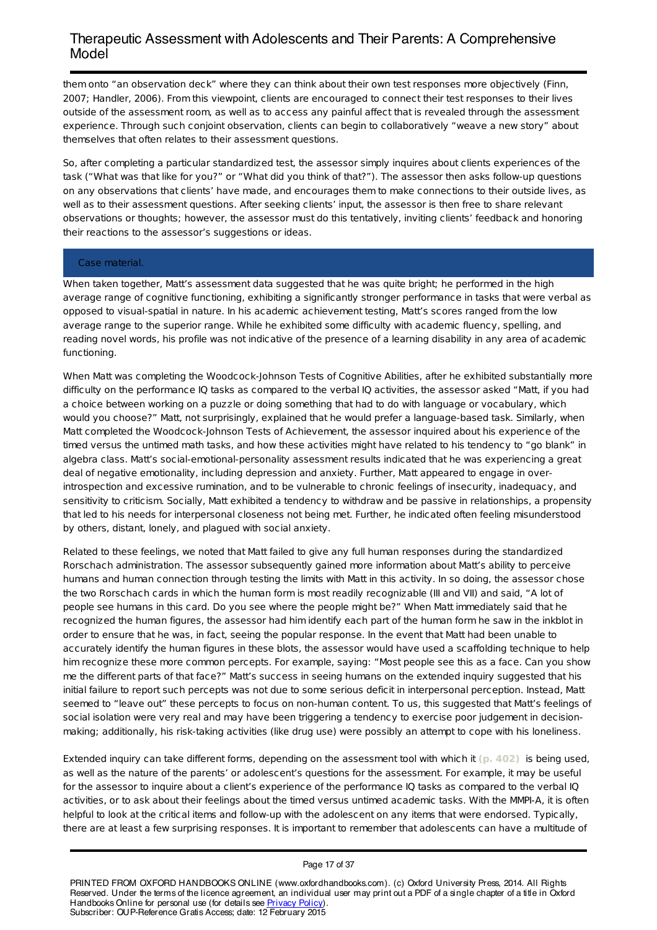them onto "an observation deck" where they can think about their own test responses more objectively (Finn, 2007; Handler, 2006). From this viewpoint, clients are encouraged to connect their test responses to their lives outside of the assessment room, as well as to access any painful affect that is revealed through the assessment experience. Through such conjoint observation, clients can begin to collaboratively "weave a new story" about themselves that often relates to their assessment questions.

So, after completing a particular standardized test, the assessor simply inquires about clients experiences of the task ("What was that like for you?" or "What did you think of that?"). The assessor then asks follow-up questions on any observations that clients' have made, and encourages them to make connections to their outside lives, as well as to their assessment questions. After seeking clients' input, the assessor is then free to share relevant observations or thoughts; however, the assessor must do this tentatively, inviting clients' feedback and honoring their reactions to the assessor's suggestions or ideas.

### Case material.

When taken together, Matt's assessment data suggested that he was quite bright; he performed in the high average range of cognitive functioning, exhibiting a significantly stronger performance in tasks that were verbal as opposed to visual-spatial in nature. In his academic achievement testing, Matt's scores ranged from the low average range to the superior range. While he exhibited some difficulty with academic fluency, spelling, and reading novel words, his profile was not indicative of the presence of a learning disability in any area of academic functioning.

When Matt was completing the Woodcock-Johnson Tests of Cognitive Abilities, after he exhibited substantially more difficulty on the performance IQ tasks as compared to the verbal IQ activities, the assessor asked "Matt, if you had a choice between working on a puzzle or doing something that had to do with language or vocabulary, which would you choose?" Matt, not surprisingly, explained that he would prefer a language-based task. Similarly, when Matt completed the Woodcock-Johnson Tests of Achievement, the assessor inquired about his experience of the timed versus the untimed math tasks, and how these activities might have related to his tendency to "go blank" in algebra class. Matt's social-emotional-personality assessment results indicated that he was experiencing a great deal of negative emotionality, including depression and anxiety. Further, Matt appeared to engage in overintrospection and excessive rumination, and to be vulnerable to chronic feelings of insecurity, inadequacy, and sensitivity to criticism. Socially, Matt exhibited a tendency to withdraw and be passive in relationships, a propensity that led to his needs for interpersonal closeness not being met. Further, he indicated often feeling misunderstood by others, distant, lonely, and plagued with social anxiety.

Related to these feelings, we noted that Matt failed to give any full human responses during the standardized Rorschach administration. The assessor subsequently gained more information about Matt's ability to perceive humans and human connection through testing the limits with Matt in this activity. In so doing, the assessor chose the two Rorschach cards in which the human form is most readily recognizable (III and VII) and said, "A lot of people see humans in this card. Do you see where the people might be?" When Matt immediately said that he recognized the human figures, the assessor had him identify each part of the human form he saw in the inkblot in order to ensure that he was, in fact, seeing the popular response. In the event that Matt had been unable to accurately identify the human figures in these blots, the assessor would have used a scaffolding technique to help him recognize these more common percepts. For example, saying: "Most people see this as a face. Can you show me the different parts of that face?" Matt's success in seeing humans on the extended inquiry suggested that his initial failure to report such percepts was not due to some serious deficit in interpersonal perception. Instead, Matt seemed to "leave out" these percepts to focus on non-human content. To us, this suggested that Matt's feelings of social isolation were very real and may have been triggering a tendency to exercise poor judgement in decisionmaking; additionally, his risk-taking activities (like drug use) were possibly an attempt to cope with his loneliness.

Extended inquiry can take different forms, depending on the assessment tool with which it **(p. 402)** is being used, as well as the nature of the parents' or adolescent's questions for the assessment. For example, it may be useful for the assessor to inquire about a client's experience of the performance IQ tasks as compared to the verbal IQ activities, or to ask about their feelings about the timed versus untimed academic tasks. With the MMPI-A, it is often helpful to look at the critical items and follow-up with the adolescent on any items that were endorsed. Typically, there are at least a few surprising responses. It is important to remember that adolescents can have a multitude of

#### Page 17 of 37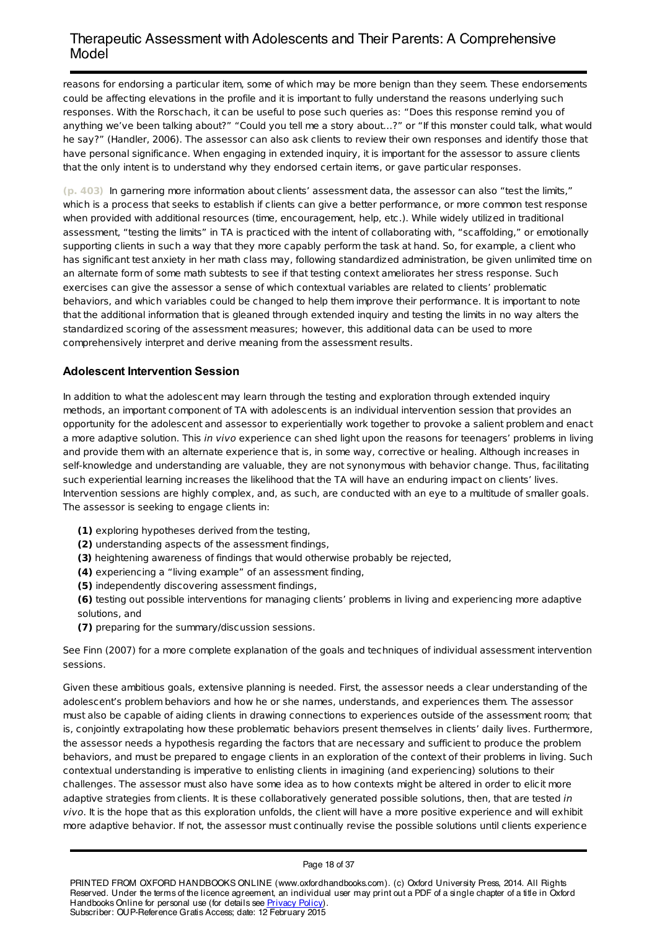reasons for endorsing a particular item, some of which may be more benign than they seem. These endorsements could be affecting elevations in the profile and it is important to fully understand the reasons underlying such responses. With the Rorschach, it can be useful to pose such queries as: "Does this response remind you of anything we've been talking about?" "Could you tell me a story about…?" or "If this monster could talk, what would he say?" (Handler, 2006). The assessor can also ask clients to review their own responses and identify those that have personal significance. When engaging in extended inquiry, it is important for the assessor to assure clients that the only intent is to understand why they endorsed certain items, or gave particular responses.

**(p. 403)** In garnering more information about clients' assessment data, the assessor can also "test the limits," which is a process that seeks to establish if clients can give a better performance, or more common test response when provided with additional resources (time, encouragement, help, etc.). While widely utilized in traditional assessment, "testing the limits" in TA is practiced with the intent of collaborating with, "scaffolding," or emotionally supporting clients in such a way that they more capably perform the task at hand. So, for example, a client who has significant test anxiety in her math class may, following standardized administration, be given unlimited time on an alternate form of some math subtests to see if that testing context ameliorates her stress response. Such exercises can give the assessor a sense of which contextual variables are related to clients' problematic behaviors, and which variables could be changed to help them improve their performance. It is important to note that the additional information that is gleaned through extended inquiry and testing the limits in no way alters the standardized scoring of the assessment measures; however, this additional data can be used to more comprehensively interpret and derive meaning from the assessment results.

## **Adolescent Intervention Session**

In addition to what the adolescent may learn through the testing and exploration through extended inquiry methods, an important component of TA with adolescents is an individual intervention session that provides an opportunity for the adolescent and assessor to experientially work together to provoke a salient problem and enact a more adaptive solution. This in vivo experience can shed light upon the reasons for teenagers' problems in living and provide them with an alternate experience that is, in some way, corrective or healing. Although increases in self-knowledge and understanding are valuable, they are not synonymous with behavior change. Thus, facilitating such experiential learning increases the likelihood that the TA will have an enduring impact on clients' lives. Intervention sessions are highly complex, and, as such, are conducted with an eye to a multitude of smaller goals. The assessor is seeking to engage clients in:

- **(1)** exploring hypotheses derived from the testing,
- **(2)** understanding aspects of the assessment findings,
- **(3)** heightening awareness of findings that would otherwise probably be rejected,
- **(4)** experiencing a "living example" of an assessment finding,
- **(5)** independently discovering assessment findings,
- **(6)** testing out possible interventions for managing clients' problems in living and experiencing more adaptive solutions, and
- **(7)** preparing for the summary/discussion sessions.

See Finn (2007) for a more complete explanation of the goals and techniques of individual assessment intervention sessions.

Given these ambitious goals, extensive planning is needed. First, the assessor needs a clear understanding of the adolescent's problem behaviors and how he or she names, understands, and experiences them. The assessor must also be capable of aiding clients in drawing connections to experiences outside of the assessment room; that is, conjointly extrapolating how these problematic behaviors present themselves in clients' daily lives. Furthermore, the assessor needs a hypothesis regarding the factors that are necessary and sufficient to produce the problem behaviors, and must be prepared to engage clients in an exploration of the context of their problems in living. Such contextual understanding is imperative to enlisting clients in imagining (and experiencing) solutions to their challenges. The assessor must also have some idea as to how contexts might be altered in order to elicit more adaptive strategies from clients. It is these collaboratively generated possible solutions, then, that are tested in vivo. It is the hope that as this exploration unfolds, the client will have a more positive experience and will exhibit more adaptive behavior. If not, the assessor must continually revise the possible solutions until clients experience

#### Page 18 of 37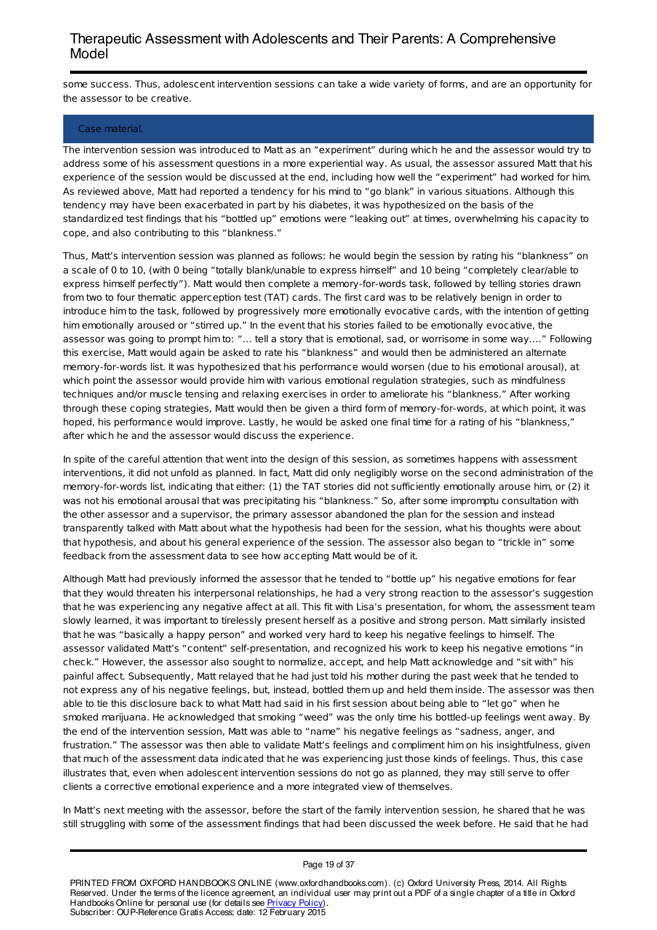some success. Thus, adolescent intervention sessions can take a wide variety of forms, and are an opportunity for the assessor to be creative.

### Case material.

The intervention session was introduced to Matt as an "experiment" during which he and the assessor would try to address some of his assessment questions in a more experiential way. As usual, the assessor assured Matt that his experience of the session would be discussed at the end, including how well the "experiment" had worked for him. As reviewed above, Matt had reported a tendency for his mind to "go blank" in various situations. Although this tendency may have been exacerbated in part by his diabetes, it was hypothesized on the basis of the standardized test findings that his "bottled up" emotions were "leaking out" at times, overwhelming his capacity to cope, and also contributing to this "blankness."

Thus, Matt's intervention session was planned as follows: he would begin the session by rating his "blankness" on a scale of 0 to 10, (with 0 being "totally blank/unable to express himself" and 10 being "completely clear/able to express himself perfectly"). Matt would then complete a memory-for-words task, followed by telling stories drawn from two to four thematic apperception test (TAT) cards. The first card was to be relatively benign in order to introduce him to the task, followed by progressively more emotionally evocative cards, with the intention of getting him emotionally aroused or "stirred up." In the event that his stories failed to be emotionally evocative, the assessor was going to prompt him to: "… tell a story that is emotional, sad, or worrisome in some way.…" Following this exercise, Matt would again be asked to rate his "blankness" and would then be administered an alternate memory-for-words list. It was hypothesized that his performance would worsen (due to his emotional arousal), at which point the assessor would provide him with various emotional regulation strategies, such as mindfulness techniques and/or muscle tensing and relaxing exercises in order to ameliorate his "blankness." After working through these coping strategies, Matt would then be given a third form of memory-for-words, at which point, it was hoped, his performance would improve. Lastly, he would be asked one final time for a rating of his "blankness," after which he and the assessor would discuss the experience.

In spite of the careful attention that went into the design of this session, as sometimes happens with assessment interventions, it did not unfold as planned. In fact, Matt did only negligibly worse on the second administration of the memory-for-words list, indicating that either: (1) the TAT stories did not sufficiently emotionally arouse him, or (2) it was not his emotional arousal that was precipitating his "blankness." So, after some impromptu consultation with the other assessor and a supervisor, the primary assessor abandoned the plan for the session and instead transparently talked with Matt about what the hypothesis had been for the session, what his thoughts were about that hypothesis, and about his general experience of the session. The assessor also began to "trickle in" some feedback from the assessment data to see how accepting Matt would be of it.

Although Matt had previously informed the assessor that he tended to "bottle up" his negative emotions for fear that they would threaten his interpersonal relationships, he had a very strong reaction to the assessor's suggestion that he was experiencing any negative affect at all. This fit with Lisa's presentation, for whom, the assessment team slowly learned, it was important to tirelessly present herself as a positive and strong person. Matt similarly insisted that he was "basically a happy person" and worked very hard to keep his negative feelings to himself. The assessor validated Matt's "content" self-presentation, and recognized his work to keep his negative emotions "in check." However, the assessor also sought to normalize, accept, and help Matt acknowledge and "sit with" his painful affect. Subsequently, Matt relayed that he had just told his mother during the past week that he tended to not express any of his negative feelings, but, instead, bottled them up and held them inside. The assessor was then able to tie this disclosure back to what Matt had said in his first session about being able to "let go" when he smoked marijuana. He acknowledged that smoking "weed" was the only time his bottled-up feelings went away. By the end of the intervention session, Matt was able to "name" his negative feelings as "sadness, anger, and frustration." The assessor was then able to validate Matt's feelings and compliment him on his insightfulness, given that much of the assessment data indicated that he was experiencing just those kinds of feelings. Thus, this case illustrates that, even when adolescent intervention sessions do not go as planned, they may still serve to offer clients a corrective emotional experience and a more integrated view of themselves.

In Matt's next meeting with the assessor, before the start of the family intervention session, he shared that he was still struggling with some of the assessment findings that had been discussed the week before. He said that he had

#### Page 19 of 37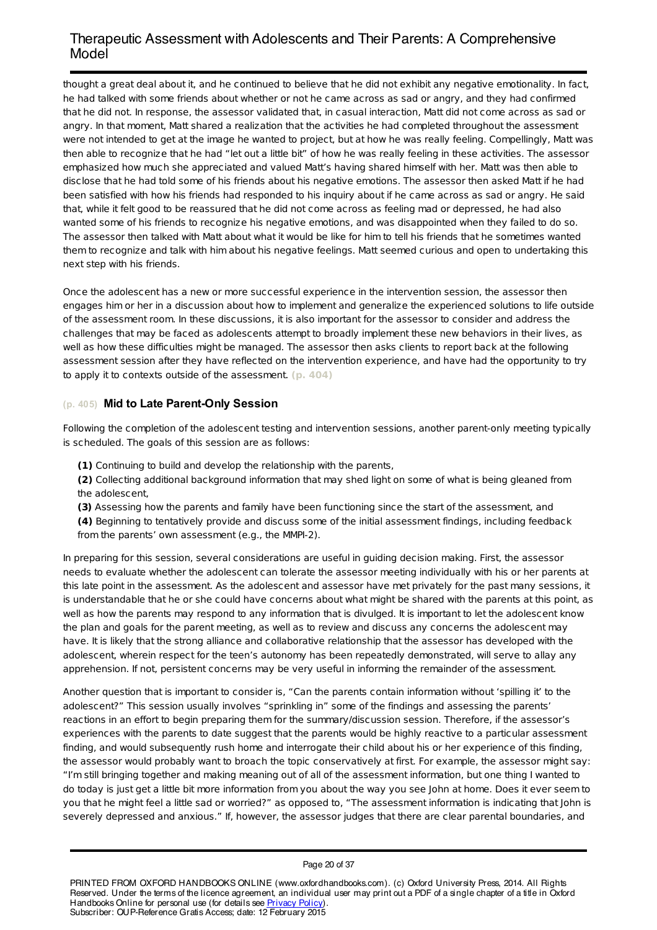thought a great deal about it, and he continued to believe that he did not exhibit any negative emotionality. In fact, he had talked with some friends about whether or not he came across as sad or angry, and they had confirmed that he did not. In response, the assessor validated that, in casual interaction, Matt did not come across as sad or angry. In that moment, Matt shared a realization that the activities he had completed throughout the assessment were not intended to get at the image he wanted to project, but at how he was really feeling. Compellingly, Matt was then able to recognize that he had "let out a little bit" of how he was really feeling in these activities. The assessor emphasized how much she appreciated and valued Matt's having shared himself with her. Matt was then able to disclose that he had told some of his friends about his negative emotions. The assessor then asked Matt if he had been satisfied with how his friends had responded to his inquiry about if he came across as sad or angry. He said that, while it felt good to be reassured that he did not come across as feeling mad or depressed, he had also wanted some of his friends to recognize his negative emotions, and was disappointed when they failed to do so. The assessor then talked with Matt about what it would be like for him to tell his friends that he sometimes wanted them to recognize and talk with him about his negative feelings. Matt seemed curious and open to undertaking this next step with his friends.

Once the adolescent has a new or more successful experience in the intervention session, the assessor then engages him or her in a discussion about how to implement and generalize the experienced solutions to life outside of the assessment room. In these discussions, it is also important for the assessor to consider and address the challenges that may be faced as adolescents attempt to broadly implement these new behaviors in their lives, as well as how these difficulties might be managed. The assessor then asks clients to report back at the following assessment session after they have reflected on the intervention experience, and have had the opportunity to try to apply it to contexts outside of the assessment. **(p. 404)**

## **(p. 405) Mid to Late Parent-Only Session**

Following the completion of the adolescent testing and intervention sessions, another parent-only meeting typically is scheduled. The goals of this session are as follows:

**(1)** Continuing to build and develop the relationship with the parents,

**(2)** Collecting additional background information that may shed light on some of what is being gleaned from the adolescent,

**(3)** Assessing how the parents and family have been functioning since the start of the assessment, and

**(4)** Beginning to tentatively provide and discuss some of the initial assessment findings, including feedback from the parents' own assessment (e.g., the MMPI-2).

In preparing for this session, several considerations are useful in guiding decision making. First, the assessor needs to evaluate whether the adolescent can tolerate the assessor meeting individually with his or her parents at this late point in the assessment. As the adolescent and assessor have met privately for the past many sessions, it is understandable that he or she could have concerns about what might be shared with the parents at this point, as well as how the parents may respond to any information that is divulged. It is important to let the adolescent know the plan and goals for the parent meeting, as well as to review and discuss any concerns the adolescent may have. It is likely that the strong alliance and collaborative relationship that the assessor has developed with the adolescent, wherein respect for the teen's autonomy has been repeatedly demonstrated, will serve to allay any apprehension. If not, persistent concerns may be very useful in informing the remainder of the assessment.

Another question that is important to consider is, "Can the parents contain information without 'spilling it' to the adolescent?" This session usually involves "sprinkling in" some of the findings and assessing the parents' reactions in an effort to begin preparing them for the summary/discussion session. Therefore, if the assessor's experiences with the parents to date suggest that the parents would be highly reactive to a particular assessment finding, and would subsequently rush home and interrogate their child about his or her experience of this finding, the assessor would probably want to broach the topic conservatively at first. For example, the assessor might say: "I'm still bringing together and making meaning out of all of the assessment information, but one thing I wanted to do today is just get a little bit more information from you about the way you see John at home. Does it ever seem to you that he might feel a little sad or worried?" as opposed to, "The assessment information is indicating that John is severely depressed and anxious." If, however, the assessor judges that there are clear parental boundaries, and

#### Page 20 of 37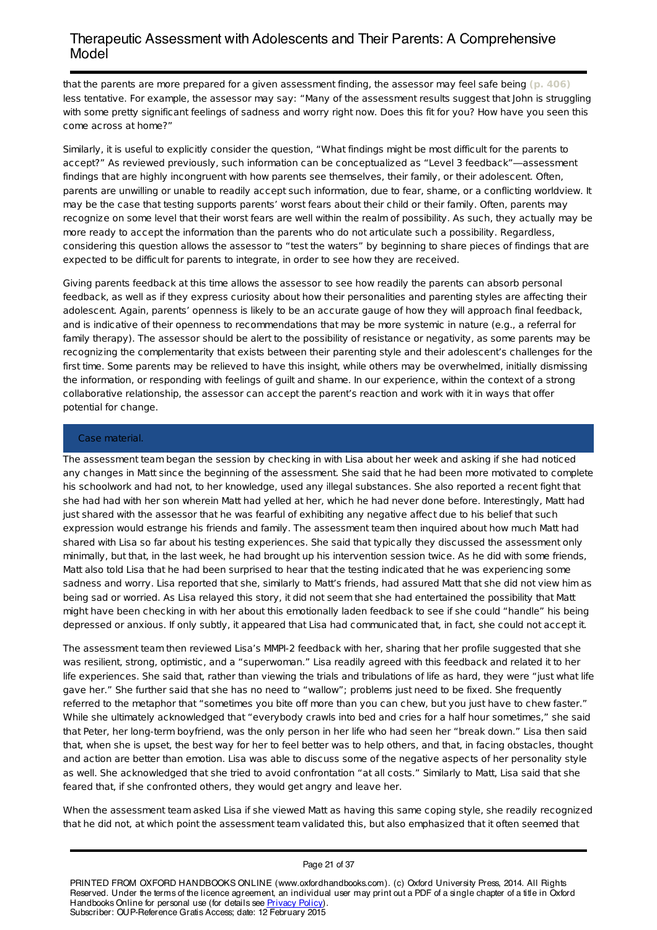that the parents are more prepared for a given assessment finding, the assessor may feel safe being **(p. 406)** less tentative. For example, the assessor may say: "Many of the assessment results suggest that John is struggling with some pretty significant feelings of sadness and worry right now. Does this fit for you? How have you seen this come across at home?"

Similarly, it is useful to explicitly consider the question, "What findings might be most difficult for the parents to accept?" As reviewed previously, such information can be conceptualized as "Level 3 feedback"—assessment findings that are highly incongruent with how parents see themselves, their family, or their adolescent. Often, parents are unwilling or unable to readily accept such information, due to fear, shame, or a conflicting worldview. It may be the case that testing supports parents' worst fears about their child or their family. Often, parents may recognize on some level that their worst fears are well within the realm of possibility. As such, they actually may be more ready to accept the information than the parents who do not articulate such a possibility. Regardless, considering this question allows the assessor to "test the waters" by beginning to share pieces of findings that are expected to be difficult for parents to integrate, in order to see how they are received.

Giving parents feedback at this time allows the assessor to see how readily the parents can absorb personal feedback, as well as if they express curiosity about how their personalities and parenting styles are affecting their adolescent. Again, parents' openness is likely to be an accurate gauge of how they will approach final feedback, and is indicative of their openness to recommendations that may be more systemic in nature (e.g., a referral for family therapy). The assessor should be alert to the possibility of resistance or negativity, as some parents may be recognizing the complementarity that exists between their parenting style and their adolescent's challenges for the first time. Some parents may be relieved to have this insight, while others may be overwhelmed, initially dismissing the information, or responding with feelings of guilt and shame. In our experience, within the context of a strong collaborative relationship, the assessor can accept the parent's reaction and work with it in ways that offer potential for change.

### Case material.

The assessment team began the session by checking in with Lisa about her week and asking if she had noticed any changes in Matt since the beginning of the assessment. She said that he had been more motivated to complete his schoolwork and had not, to her knowledge, used any illegal substances. She also reported a recent fight that she had had with her son wherein Matt had yelled at her, which he had never done before. Interestingly, Matt had just shared with the assessor that he was fearful of exhibiting any negative affect due to his belief that such expression would estrange his friends and family. The assessment team then inquired about how much Matt had shared with Lisa so far about his testing experiences. She said that typically they discussed the assessment only minimally, but that, in the last week, he had brought up his intervention session twice. As he did with some friends, Matt also told Lisa that he had been surprised to hear that the testing indicated that he was experiencing some sadness and worry. Lisa reported that she, similarly to Matt's friends, had assured Matt that she did not view him as being sad or worried. As Lisa relayed this story, it did not seem that she had entertained the possibility that Matt might have been checking in with her about this emotionally laden feedback to see if she could "handle" his being depressed or anxious. If only subtly, it appeared that Lisa had communicated that, in fact, she could not accept it.

The assessment team then reviewed Lisa's MMPI-2 feedback with her, sharing that her profile suggested that she was resilient, strong, optimistic, and a "superwoman." Lisa readily agreed with this feedback and related it to her life experiences. She said that, rather than viewing the trials and tribulations of life as hard, they were "just what life gave her." She further said that she has no need to "wallow"; problems just need to be fixed. She frequently referred to the metaphor that "sometimes you bite off more than you can chew, but you just have to chew faster." While she ultimately acknowledged that "everybody crawls into bed and cries for a half hour sometimes," she said that Peter, her long-term boyfriend, was the only person in her life who had seen her "break down." Lisa then said that, when she is upset, the best way for her to feel better was to help others, and that, in facing obstacles, thought and action are better than emotion. Lisa was able to discuss some of the negative aspects of her personality style as well. She acknowledged that she tried to avoid confrontation "at all costs." Similarly to Matt, Lisa said that she feared that, if she confronted others, they would get angry and leave her.

When the assessment team asked Lisa if she viewed Matt as having this same coping style, she readily recognized that he did not, at which point the assessment team validated this, but also emphasized that it often seemed that

#### Page 21 of 37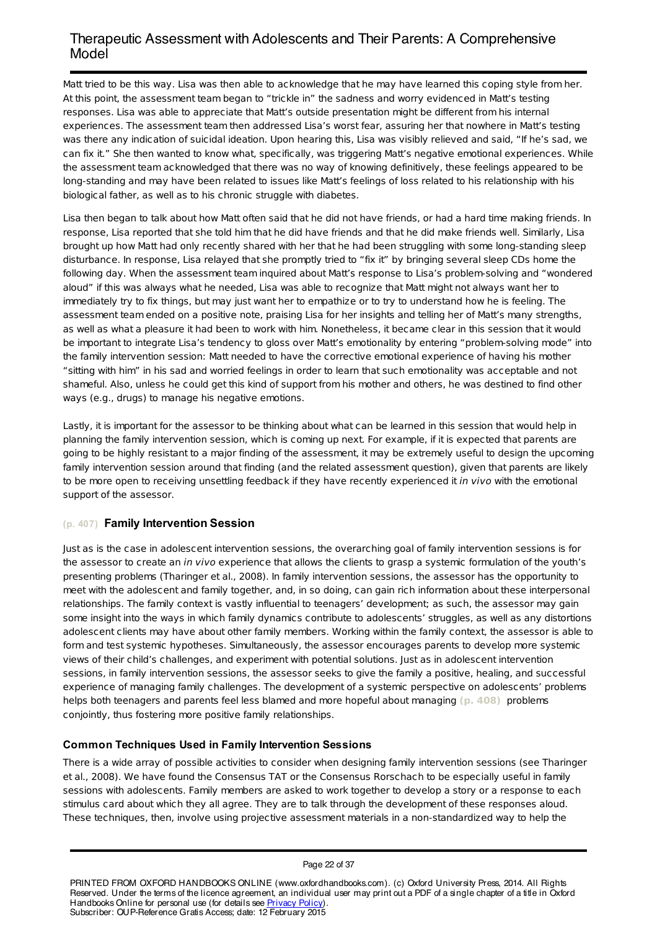Matt tried to be this way. Lisa was then able to acknowledge that he may have learned this coping style from her. At this point, the assessment team began to "trickle in" the sadness and worry evidenced in Matt's testing responses. Lisa was able to appreciate that Matt's outside presentation might be different from his internal experiences. The assessment team then addressed Lisa's worst fear, assuring her that nowhere in Matt's testing was there any indication of suicidal ideation. Upon hearing this, Lisa was visibly relieved and said, "If he's sad, we can fix it." She then wanted to know what, specifically, was triggering Matt's negative emotional experiences. While the assessment team acknowledged that there was no way of knowing definitively, these feelings appeared to be long-standing and may have been related to issues like Matt's feelings of loss related to his relationship with his biological father, as well as to his chronic struggle with diabetes.

Lisa then began to talk about how Matt often said that he did not have friends, or had a hard time making friends. In response, Lisa reported that she told him that he did have friends and that he did make friends well. Similarly, Lisa brought up how Matt had only recently shared with her that he had been struggling with some long-standing sleep disturbance. In response, Lisa relayed that she promptly tried to "fix it" by bringing several sleep CDs home the following day. When the assessment team inquired about Matt's response to Lisa's problem-solving and "wondered aloud" if this was always what he needed, Lisa was able to recognize that Matt might not always want her to immediately try to fix things, but may just want her to empathize or to try to understand how he is feeling. The assessment team ended on a positive note, praising Lisa for her insights and telling her of Matt's many strengths, as well as what a pleasure it had been to work with him. Nonetheless, it became clear in this session that it would be important to integrate Lisa's tendency to gloss over Matt's emotionality by entering "problem-solving mode" into the family intervention session: Matt needed to have the corrective emotional experience of having his mother "sitting with him" in his sad and worried feelings in order to learn that such emotionality was acceptable and not shameful. Also, unless he could get this kind of support from his mother and others, he was destined to find other ways (e.g., drugs) to manage his negative emotions.

Lastly, it is important for the assessor to be thinking about what can be learned in this session that would help in planning the family intervention session, which is coming up next. For example, if it is expected that parents are going to be highly resistant to a major finding of the assessment, it may be extremely useful to design the upcoming family intervention session around that finding (and the related assessment question), given that parents are likely to be more open to receiving unsettling feedback if they have recently experienced it in vivo with the emotional support of the assessor.

## **(p. 407) Family Intervention Session**

Just as is the case in adolescent intervention sessions, the overarching goal of family intervention sessions is for the assessor to create an in vivo experience that allows the clients to grasp a systemic formulation of the youth's presenting problems (Tharinger et al., 2008). In family intervention sessions, the assessor has the opportunity to meet with the adolescent and family together, and, in so doing, can gain rich information about these interpersonal relationships. The family context is vastly influential to teenagers' development; as such, the assessor may gain some insight into the ways in which family dynamics contribute to adolescents' struggles, as well as any distortions adolescent clients may have about other family members. Working within the family context, the assessor is able to form and test systemic hypotheses. Simultaneously, the assessor encourages parents to develop more systemic views of their child's challenges, and experiment with potential solutions. Just as in adolescent intervention sessions, in family intervention sessions, the assessor seeks to give the family a positive, healing, and successful experience of managing family challenges. The development of a systemic perspective on adolescents' problems helps both teenagers and parents feel less blamed and more hopeful about managing **(p. 408)** problems conjointly, thus fostering more positive family relationships.

## **Common Techniques Used in Family Intervention Sessions**

There is a wide array of possible activities to consider when designing family intervention sessions (see Tharinger et al., 2008). We have found the Consensus TAT or the Consensus Rorschach to be especially useful in family sessions with adolescents. Family members are asked to work together to develop a story or a response to each stimulus card about which they all agree. They are to talk through the development of these responses aloud. These techniques, then, involve using projective assessment materials in a non-standardized way to help the

Page 22 of 37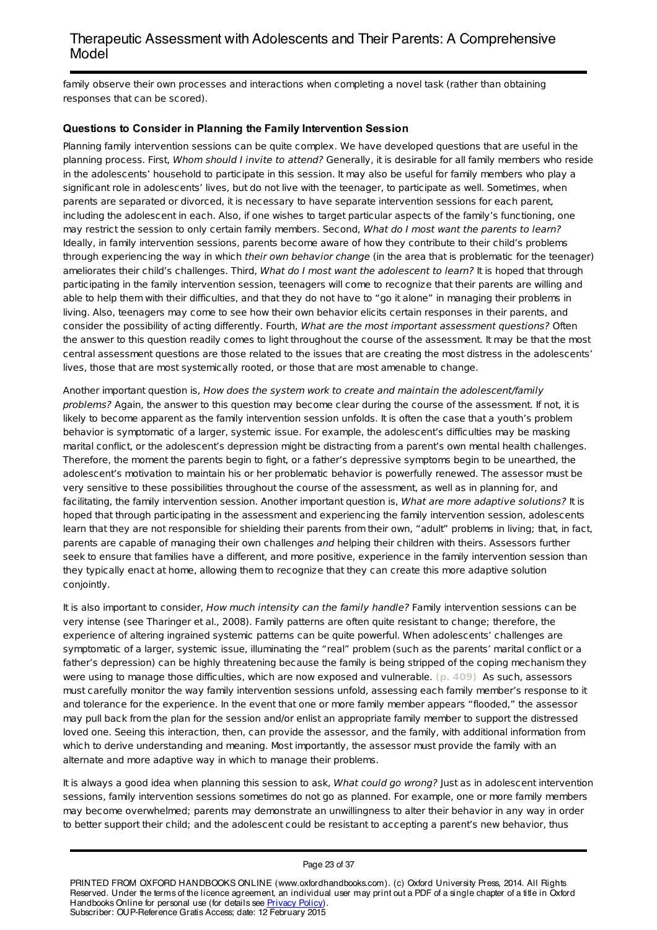family observe their own processes and interactions when completing a novel task (rather than obtaining responses that can be scored).

### **Questions to Consider in Planning the Family Intervention Session**

Planning family intervention sessions can be quite complex. We have developed questions that are useful in the planning process. First, Whom should I invite to attend? Generally, it is desirable for all family members who reside in the adolescents' household to participate in this session. It may also be useful for family members who play a significant role in adolescents' lives, but do not live with the teenager, to participate as well. Sometimes, when parents are separated or divorced, it is necessary to have separate intervention sessions for each parent, including the adolescent in each. Also, if one wishes to target particular aspects of the family's functioning, one may restrict the session to only certain family members. Second, What do I most want the parents to learn? Ideally, in family intervention sessions, parents become aware of how they contribute to their child's problems through experiencing the way in which their own behavior change (in the area that is problematic for the teenager) ameliorates their child's challenges. Third, What do I most want the adolescent to learn? It is hoped that through participating in the family intervention session, teenagers will come to recognize that their parents are willing and able to help them with their difficulties, and that they do not have to "go it alone" in managing their problems in living. Also, teenagers may come to see how their own behavior elicits certain responses in their parents, and consider the possibility of acting differently. Fourth, What are the most important assessment questions? Often the answer to this question readily comes to light throughout the course of the assessment. It may be that the most central assessment questions are those related to the issues that are creating the most distress in the adolescents' lives, those that are most systemically rooted, or those that are most amenable to change.

Another important question is, How does the system work to create and maintain the adolescent/family problems? Again, the answer to this question may become clear during the course of the assessment. If not, it is likely to become apparent as the family intervention session unfolds. It is often the case that a youth's problem behavior is symptomatic of a larger, systemic issue. For example, the adolescent's difficulties may be masking marital conflict, or the adolescent's depression might be distracting from a parent's own mental health challenges. Therefore, the moment the parents begin to fight, or a father's depressive symptoms begin to be unearthed, the adolescent's motivation to maintain his or her problematic behavior is powerfully renewed. The assessor must be very sensitive to these possibilities throughout the course of the assessment, as well as in planning for, and facilitating, the family intervention session. Another important question is, What are more adaptive solutions? It is hoped that through participating in the assessment and experiencing the family intervention session, adolescents learn that they are not responsible for shielding their parents from their own, "adult" problems in living; that, in fact, parents are capable of managing their own challenges and helping their children with theirs. Assessors further seek to ensure that families have a different, and more positive, experience in the family intervention session than they typically enact at home, allowing them to recognize that they can create this more adaptive solution conjointly.

It is also important to consider, How much intensity can the family handle? Family intervention sessions can be very intense (see Tharinger et al., 2008). Family patterns are often quite resistant to change; therefore, the experience of altering ingrained systemic patterns can be quite powerful. When adolescents' challenges are symptomatic of a larger, systemic issue, illuminating the "real" problem (such as the parents' marital conflict or a father's depression) can be highly threatening because the family is being stripped of the coping mechanism they were using to manage those difficulties, which are now exposed and vulnerable. **(p. 409)** As such, assessors must carefully monitor the way family intervention sessions unfold, assessing each family member's response to it and tolerance for the experience. In the event that one or more family member appears "flooded," the assessor may pull back from the plan for the session and/or enlist an appropriate family member to support the distressed loved one. Seeing this interaction, then, can provide the assessor, and the family, with additional information from which to derive understanding and meaning. Most importantly, the assessor must provide the family with an alternate and more adaptive way in which to manage their problems.

It is always a good idea when planning this session to ask, What could go wrong? Just as in adolescent intervention sessions, family intervention sessions sometimes do not go as planned. For example, one or more family members may become overwhelmed; parents may demonstrate an unwillingness to alter their behavior in any way in order to better support their child; and the adolescent could be resistant to accepting a parent's new behavior, thus

#### Page 23 of 37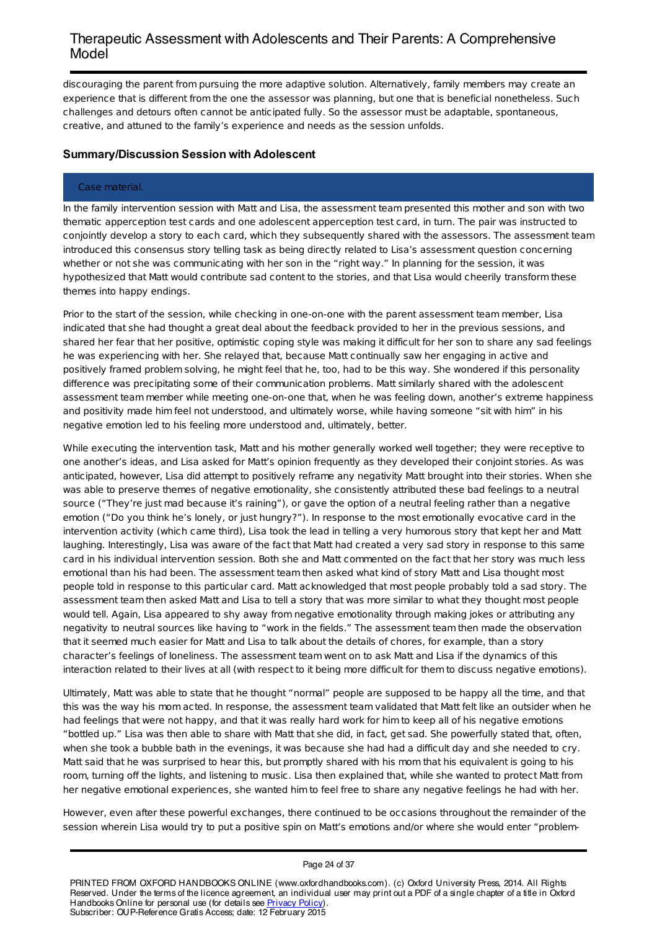discouraging the parent from pursuing the more adaptive solution. Alternatively, family members may create an experience that is different from the one the assessor was planning, but one that is beneficial nonetheless. Such challenges and detours often cannot be anticipated fully. So the assessor must be adaptable, spontaneous, creative, and attuned to the family's experience and needs as the session unfolds.

### **Summary/Discussion Session with Adolescent**

### Case material.

In the family intervention session with Matt and Lisa, the assessment team presented this mother and son with two thematic apperception test cards and one adolescent apperception test card, in turn. The pair was instructed to conjointly develop a story to each card, which they subsequently shared with the assessors. The assessment team introduced this consensus story telling task as being directly related to Lisa's assessment question concerning whether or not she was communicating with her son in the "right way." In planning for the session, it was hypothesized that Matt would contribute sad content to the stories, and that Lisa would cheerily transform these themes into happy endings.

Prior to the start of the session, while checking in one-on-one with the parent assessment team member, Lisa indicated that she had thought a great deal about the feedback provided to her in the previous sessions, and shared her fear that her positive, optimistic coping style was making it difficult for her son to share any sad feelings he was experiencing with her. She relayed that, because Matt continually saw her engaging in active and positively framed problem solving, he might feel that he, too, had to be this way. She wondered if this personality difference was precipitating some of their communication problems. Matt similarly shared with the adolescent assessment team member while meeting one-on-one that, when he was feeling down, another's extreme happiness and positivity made him feel not understood, and ultimately worse, while having someone "sit with him" in his negative emotion led to his feeling more understood and, ultimately, better.

While executing the intervention task, Matt and his mother generally worked well together; they were receptive to one another's ideas, and Lisa asked for Matt's opinion frequently as they developed their conjoint stories. As was anticipated, however, Lisa did attempt to positively reframe any negativity Matt brought into their stories. When she was able to preserve themes of negative emotionality, she consistently attributed these bad feelings to a neutral source ("They're just mad because it's raining"), or gave the option of a neutral feeling rather than a negative emotion ("Do you think he's lonely, or just hungry?"). In response to the most emotionally evocative card in the intervention activity (which came third), Lisa took the lead in telling a very humorous story that kept her and Matt laughing. Interestingly, Lisa was aware of the fact that Matt had created a very sad story in response to this same card in his individual intervention session. Both she and Matt commented on the fact that her story was much less emotional than his had been. The assessment team then asked what kind of story Matt and Lisa thought most people told in response to this particular card. Matt acknowledged that most people probably told a sad story. The assessment team then asked Matt and Lisa to tell a story that was more similar to what they thought most people would tell. Again, Lisa appeared to shy away from negative emotionality through making jokes or attributing any negativity to neutral sources like having to "work in the fields." The assessment team then made the observation that it seemed much easier for Matt and Lisa to talk about the details of chores, for example, than a story character's feelings of loneliness. The assessment team went on to ask Matt and Lisa if the dynamics of this interaction related to their lives at all (with respect to it being more difficult for them to discuss negative emotions).

Ultimately, Matt was able to state that he thought "normal" people are supposed to be happy all the time, and that this was the way his mom acted. In response, the assessment team validated that Matt felt like an outsider when he had feelings that were not happy, and that it was really hard work for him to keep all of his negative emotions "bottled up." Lisa was then able to share with Matt that she did, in fact, get sad. She powerfully stated that, often, when she took a bubble bath in the evenings, it was because she had had a difficult day and she needed to cry. Matt said that he was surprised to hear this, but promptly shared with his mom that his equivalent is going to his room, turning off the lights, and listening to music. Lisa then explained that, while she wanted to protect Matt from her negative emotional experiences, she wanted him to feel free to share any negative feelings he had with her.

However, even after these powerful exchanges, there continued to be occasions throughout the remainder of the session wherein Lisa would try to put a positive spin on Matt's emotions and/or where she would enter "problem-

#### Page 24 of 37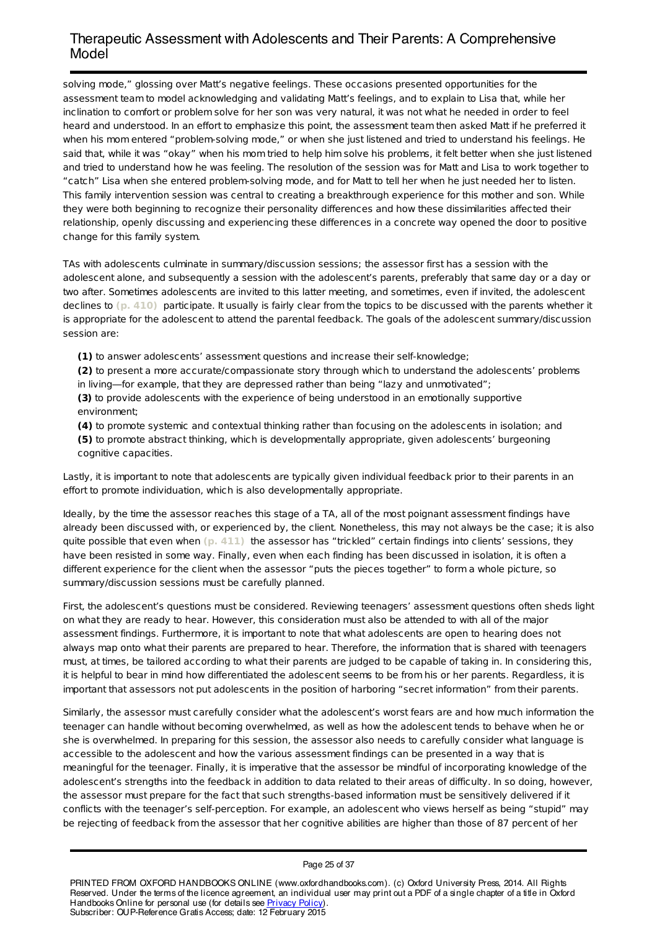solving mode," glossing over Matt's negative feelings. These occasions presented opportunities for the assessment team to model acknowledging and validating Matt's feelings, and to explain to Lisa that, while her inclination to comfort or problem solve for her son was very natural, it was not what he needed in order to feel heard and understood. In an effort to emphasize this point, the assessment team then asked Matt if he preferred it when his mom entered "problem-solving mode," or when she just listened and tried to understand his feelings. He said that, while it was "okay" when his mom tried to help him solve his problems, it felt better when she just listened and tried to understand how he was feeling. The resolution of the session was for Matt and Lisa to work together to "catch" Lisa when she entered problem-solving mode, and for Matt to tell her when he just needed her to listen. This family intervention session was central to creating a breakthrough experience for this mother and son. While they were both beginning to recognize their personality differences and how these dissimilarities affected their relationship, openly discussing and experiencing these differences in a concrete way opened the door to positive change for this family system.

TAs with adolescents culminate in summary/discussion sessions; the assessor first has a session with the adolescent alone, and subsequently a session with the adolescent's parents, preferably that same day or a day or two after. Sometimes adolescents are invited to this latter meeting, and sometimes, even if invited, the adolescent declines to **(p. 410)** participate. It usually is fairly clear from the topics to be discussed with the parents whether it is appropriate for the adolescent to attend the parental feedback. The goals of the adolescent summary/discussion session are:

**(1)** to answer adolescents' assessment questions and increase their self-knowledge;

**(2)** to present a more accurate/compassionate story through which to understand the adolescents' problems in living—for example, that they are depressed rather than being "lazy and unmotivated";

**(3)** to provide adolescents with the experience of being understood in an emotionally supportive environment;

**(4)** to promote systemic and contextual thinking rather than focusing on the adolescents in isolation; and

**(5)** to promote abstract thinking, which is developmentally appropriate, given adolescents' burgeoning cognitive capacities.

Lastly, it is important to note that adolescents are typically given individual feedback prior to their parents in an effort to promote individuation, which is also developmentally appropriate.

Ideally, by the time the assessor reaches this stage of a TA, all of the most poignant assessment findings have already been discussed with, or experienced by, the client. Nonetheless, this may not always be the case; it is also quite possible that even when **(p. 411)** the assessor has "trickled" certain findings into clients' sessions, they have been resisted in some way. Finally, even when each finding has been discussed in isolation, it is often a different experience for the client when the assessor "puts the pieces together" to form a whole picture, so summary/discussion sessions must be carefully planned.

First, the adolescent's questions must be considered. Reviewing teenagers' assessment questions often sheds light on what they are ready to hear. However, this consideration must also be attended to with all of the major assessment findings. Furthermore, it is important to note that what adolescents are open to hearing does not always map onto what their parents are prepared to hear. Therefore, the information that is shared with teenagers must, at times, be tailored according to what their parents are judged to be capable of taking in. In considering this, it is helpful to bear in mind how differentiated the adolescent seems to be from his or her parents. Regardless, it is important that assessors not put adolescents in the position of harboring "secret information" from their parents.

Similarly, the assessor must carefully consider what the adolescent's worst fears are and how much information the teenager can handle without becoming overwhelmed, as well as how the adolescent tends to behave when he or she is overwhelmed. In preparing for this session, the assessor also needs to carefully consider what language is accessible to the adolescent and how the various assessment findings can be presented in a way that is meaningful for the teenager. Finally, it is imperative that the assessor be mindful of incorporating knowledge of the adolescent's strengths into the feedback in addition to data related to their areas of difficulty. In so doing, however, the assessor must prepare for the fact that such strengths-based information must be sensitively delivered if it conflicts with the teenager's self-perception. For example, an adolescent who views herself as being "stupid" may be rejecting of feedback from the assessor that her cognitive abilities are higher than those of 87 percent of her

#### Page 25 of 37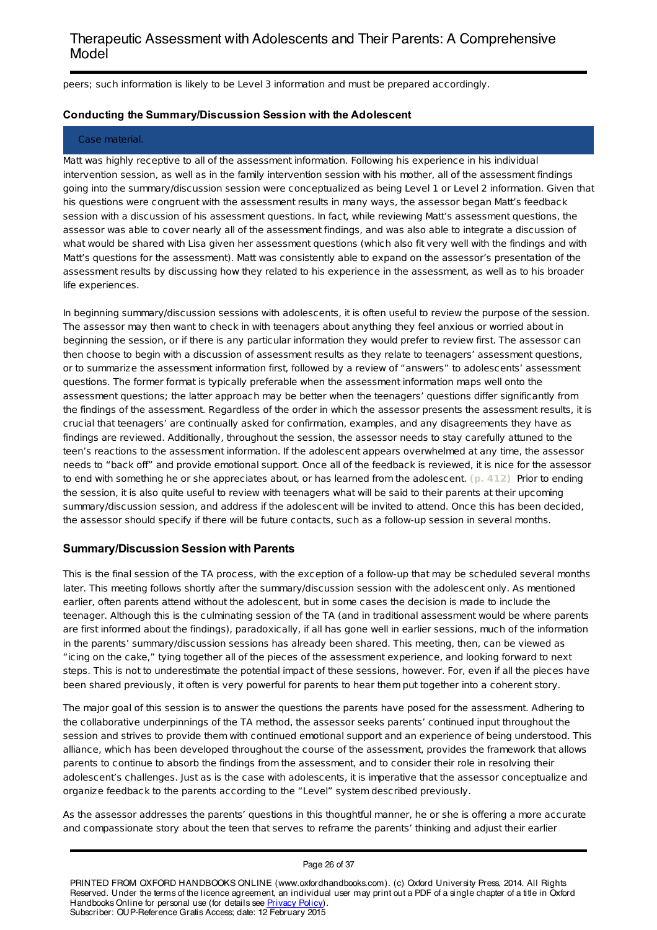peers; such information is likely to be Level 3 information and must be prepared accordingly.

### **Conducting the Summary/Discussion Session with the Adolescent**

#### Case material.

Matt was highly receptive to all of the assessment information. Following his experience in his individual intervention session, as well as in the family intervention session with his mother, all of the assessment findings going into the summary/discussion session were conceptualized as being Level 1 or Level 2 information. Given that his questions were congruent with the assessment results in many ways, the assessor began Matt's feedback session with a discussion of his assessment questions. In fact, while reviewing Matt's assessment questions, the assessor was able to cover nearly all of the assessment findings, and was also able to integrate a discussion of what would be shared with Lisa given her assessment questions (which also fit very well with the findings and with Matt's questions for the assessment). Matt was consistently able to expand on the assessor's presentation of the assessment results by discussing how they related to his experience in the assessment, as well as to his broader life experiences.

In beginning summary/discussion sessions with adolescents, it is often useful to review the purpose of the session. The assessor may then want to check in with teenagers about anything they feel anxious or worried about in beginning the session, or if there is any particular information they would prefer to review first. The assessor can then choose to begin with a discussion of assessment results as they relate to teenagers' assessment questions, or to summarize the assessment information first, followed by a review of "answers" to adolescents' assessment questions. The former format is typically preferable when the assessment information maps well onto the assessment questions; the latter approach may be better when the teenagers' questions differ significantly from the findings of the assessment. Regardless of the order in which the assessor presents the assessment results, it is crucial that teenagers' are continually asked for confirmation, examples, and any disagreements they have as findings are reviewed. Additionally, throughout the session, the assessor needs to stay carefully attuned to the teen's reactions to the assessment information. If the adolescent appears overwhelmed at any time, the assessor needs to "back off" and provide emotional support. Once all of the feedback is reviewed, it is nice for the assessor to end with something he or she appreciates about, or has learned from the adolescent. **(p. 412)** Prior to ending the session, it is also quite useful to review with teenagers what will be said to their parents at their upcoming summary/discussion session, and address if the adolescent will be invited to attend. Once this has been decided, the assessor should specify if there will be future contacts, such as a follow-up session in several months.

### **Summary/Discussion Session with Parents**

This is the final session of the TA process, with the exception of a follow-up that may be scheduled several months later. This meeting follows shortly after the summary/discussion session with the adolescent only. As mentioned earlier, often parents attend without the adolescent, but in some cases the decision is made to include the teenager. Although this is the culminating session of the TA (and in traditional assessment would be where parents are first informed about the findings), paradoxically, if all has gone well in earlier sessions, much of the information in the parents' summary/discussion sessions has already been shared. This meeting, then, can be viewed as "icing on the cake," tying together all of the pieces of the assessment experience, and looking forward to next steps. This is not to underestimate the potential impact of these sessions, however. For, even if all the pieces have been shared previously, it often is very powerful for parents to hear them put together into a coherent story.

The major goal of this session is to answer the questions the parents have posed for the assessment. Adhering to the collaborative underpinnings of the TA method, the assessor seeks parents' continued input throughout the session and strives to provide them with continued emotional support and an experience of being understood. This alliance, which has been developed throughout the course of the assessment, provides the framework that allows parents to continue to absorb the findings from the assessment, and to consider their role in resolving their adolescent's challenges. Just as is the case with adolescents, it is imperative that the assessor conceptualize and organize feedback to the parents according to the "Level" system described previously.

As the assessor addresses the parents' questions in this thoughtful manner, he or she is offering a more accurate and compassionate story about the teen that serves to reframe the parents' thinking and adjust their earlier

#### Page 26 of 37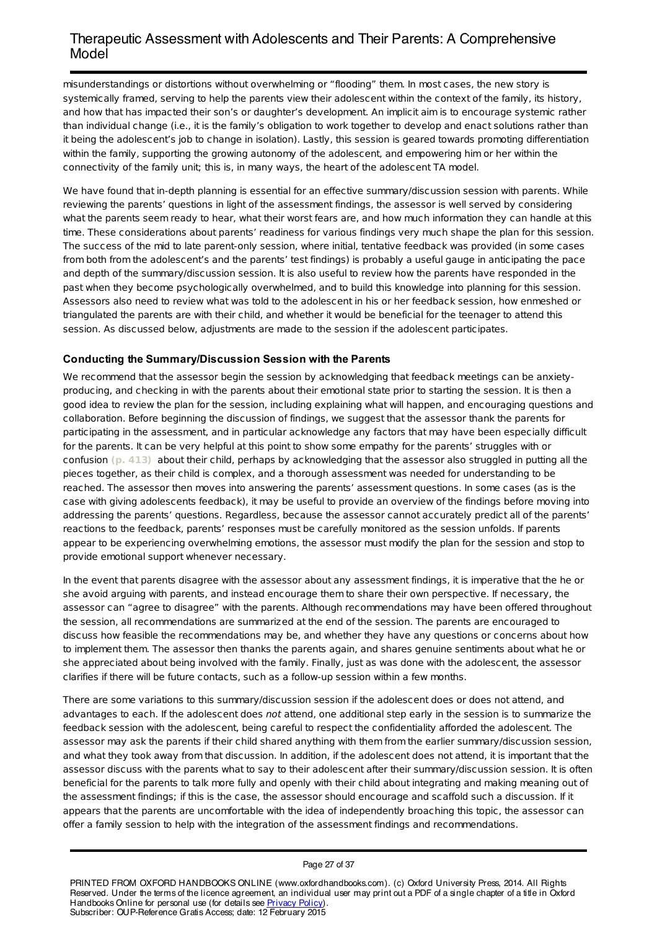misunderstandings or distortions without overwhelming or "flooding" them. In most cases, the new story is systemically framed, serving to help the parents view their adolescent within the context of the family, its history, and how that has impacted their son's or daughter's development. An implicit aim is to encourage systemic rather than individual change (i.e., it is the family's obligation to work together to develop and enact solutions rather than it being the adolescent's job to change in isolation). Lastly, this session is geared towards promoting differentiation within the family, supporting the growing autonomy of the adolescent, and empowering him or her within the connectivity of the family unit; this is, in many ways, the heart of the adolescent TA model.

We have found that in-depth planning is essential for an effective summary/discussion session with parents. While reviewing the parents' questions in light of the assessment findings, the assessor is well served by considering what the parents seem ready to hear, what their worst fears are, and how much information they can handle at this time. These considerations about parents' readiness for various findings very much shape the plan for this session. The success of the mid to late parent-only session, where initial, tentative feedback was provided (in some cases from both from the adolescent's and the parents' test findings) is probably a useful gauge in anticipating the pace and depth of the summary/discussion session. It is also useful to review how the parents have responded in the past when they become psychologically overwhelmed, and to build this knowledge into planning for this session. Assessors also need to review what was told to the adolescent in his or her feedback session, how enmeshed or triangulated the parents are with their child, and whether it would be beneficial for the teenager to attend this session. As discussed below, adjustments are made to the session if the adolescent participates.

## **Conducting the Summary/Discussion Session with the Parents**

We recommend that the assessor begin the session by acknowledging that feedback meetings can be anxietyproducing, and checking in with the parents about their emotional state prior to starting the session. It is then a good idea to review the plan for the session, including explaining what will happen, and encouraging questions and collaboration. Before beginning the discussion of findings, we suggest that the assessor thank the parents for participating in the assessment, and in particular acknowledge any factors that may have been especially difficult for the parents. It can be very helpful at this point to show some empathy for the parents' struggles with or confusion **(p. 413)** about their child, perhaps by acknowledging that the assessor also struggled in putting all the pieces together, as their child is complex, and a thorough assessment was needed for understanding to be reached. The assessor then moves into answering the parents' assessment questions. In some cases (as is the case with giving adolescents feedback), it may be useful to provide an overview of the findings before moving into addressing the parents' questions. Regardless, because the assessor cannot accurately predict all of the parents' reactions to the feedback, parents' responses must be carefully monitored as the session unfolds. If parents appear to be experiencing overwhelming emotions, the assessor must modify the plan for the session and stop to provide emotional support whenever necessary.

In the event that parents disagree with the assessor about any assessment findings, it is imperative that the he or she avoid arguing with parents, and instead encourage them to share their own perspective. If necessary, the assessor can "agree to disagree" with the parents. Although recommendations may have been offered throughout the session, all recommendations are summarized at the end of the session. The parents are encouraged to discuss how feasible the recommendations may be, and whether they have any questions or concerns about how to implement them. The assessor then thanks the parents again, and shares genuine sentiments about what he or she appreciated about being involved with the family. Finally, just as was done with the adolescent, the assessor clarifies if there will be future contacts, such as a follow-up session within a few months.

There are some variations to this summary/discussion session if the adolescent does or does not attend, and advantages to each. If the adolescent does not attend, one additional step early in the session is to summarize the feedback session with the adolescent, being careful to respect the confidentiality afforded the adolescent. The assessor may ask the parents if their child shared anything with them from the earlier summary/discussion session, and what they took away from that discussion. In addition, if the adolescent does not attend, it is important that the assessor discuss with the parents what to say to their adolescent after their summary/discussion session. It is often beneficial for the parents to talk more fully and openly with their child about integrating and making meaning out of the assessment findings; if this is the case, the assessor should encourage and scaffold such a discussion. If it appears that the parents are uncomfortable with the idea of independently broaching this topic, the assessor can offer a family session to help with the integration of the assessment findings and recommendations.

#### Page 27 of 37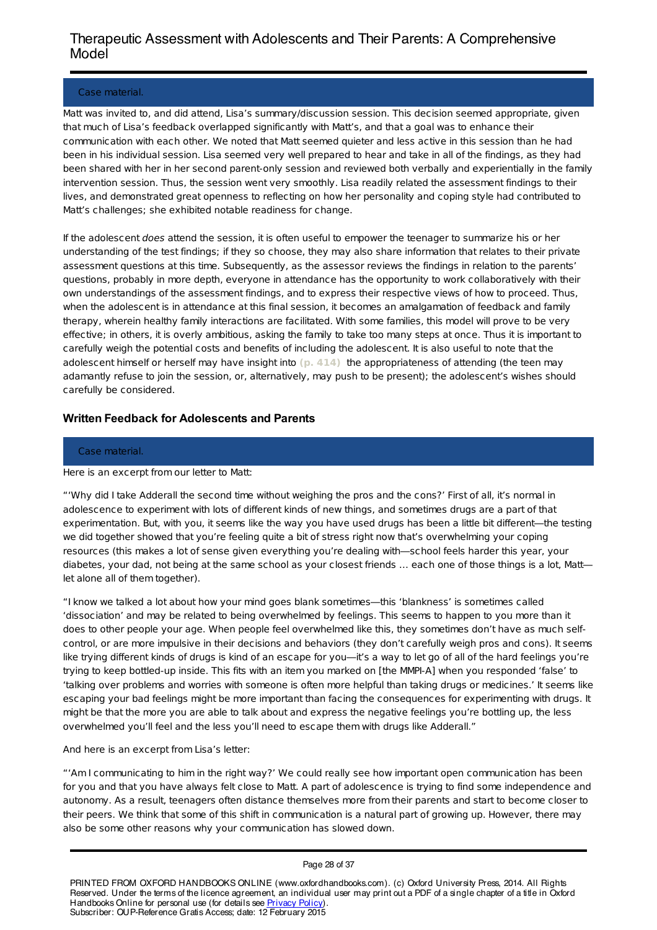### Case material.

Matt was invited to, and did attend, Lisa's summary/discussion session. This decision seemed appropriate, given that much of Lisa's feedback overlapped significantly with Matt's, and that a goal was to enhance their communication with each other. We noted that Matt seemed quieter and less active in this session than he had been in his individual session. Lisa seemed very well prepared to hear and take in all of the findings, as they had been shared with her in her second parent-only session and reviewed both verbally and experientially in the family intervention session. Thus, the session went very smoothly. Lisa readily related the assessment findings to their lives, and demonstrated great openness to reflecting on how her personality and coping style had contributed to Matt's challenges; she exhibited notable readiness for change.

If the adolescent does attend the session, it is often useful to empower the teenager to summarize his or her understanding of the test findings; if they so choose, they may also share information that relates to their private assessment questions at this time. Subsequently, as the assessor reviews the findings in relation to the parents' questions, probably in more depth, everyone in attendance has the opportunity to work collaboratively with their own understandings of the assessment findings, and to express their respective views of how to proceed. Thus, when the adolescent is in attendance at this final session, it becomes an amalgamation of feedback and family therapy, wherein healthy family interactions are facilitated. With some families, this model will prove to be very effective; in others, it is overly ambitious, asking the family to take too many steps at once. Thus it is important to carefully weigh the potential costs and benefits of including the adolescent. It is also useful to note that the adolescent himself or herself may have insight into **(p. 414)** the appropriateness of attending (the teen may adamantly refuse to join the session, or, alternatively, may push to be present); the adolescent's wishes should carefully be considered.

## **Written Feedback for Adolescents and Parents**

### Case material.

#### Here is an excerpt from our letter to Matt:

"'Why did I take Adderall the second time without weighing the pros and the cons?' First of all, it's normal in adolescence to experiment with lots of different kinds of new things, and sometimes drugs are a part of that experimentation. But, with you, it seems like the way you have used drugs has been a little bit different—the testing we did together showed that you're feeling quite a bit of stress right now that's overwhelming your coping resources (this makes a lot of sense given everything you're dealing with—school feels harder this year, your diabetes, your dad, not being at the same school as your closest friends … each one of those things is a lot, Matt let alone all of them together).

"I know we talked a lot about how your mind goes blank sometimes—this 'blankness' is sometimes called 'dissociation' and may be related to being overwhelmed by feelings. This seems to happen to you more than it does to other people your age. When people feel overwhelmed like this, they sometimes don't have as much selfcontrol, or are more impulsive in their decisions and behaviors (they don't carefully weigh pros and cons). It seems like trying different kinds of drugs is kind of an escape for you—it's a way to let go of all of the hard feelings you're trying to keep bottled-up inside. This fits with an item you marked on [the MMPI-A] when you responded 'false' to 'talking over problems and worries with someone is often more helpful than taking drugs or medicines.' It seems like escaping your bad feelings might be more important than facing the consequences for experimenting with drugs. It might be that the more you are able to talk about and express the negative feelings you're bottling up, the less overwhelmed you'll feel and the less you'll need to escape them with drugs like Adderall."

And here is an excerpt from Lisa's letter:

"'Am I communicating to him in the right way?' We could really see how important open communication has been for you and that you have always felt close to Matt. A part of adolescence is trying to find some independence and autonomy. As a result, teenagers often distance themselves more from their parents and start to become closer to their peers. We think that some of this shift in communication is a natural part of growing up. However, there may also be some other reasons why your communication has slowed down.

#### Page 28 of 37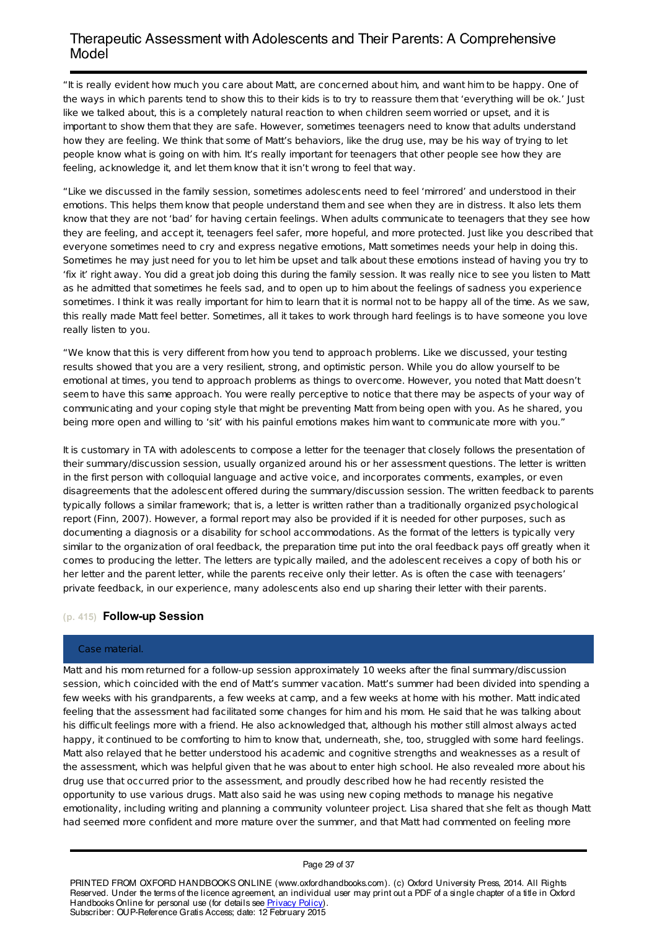"It is really evident how much you care about Matt, are concerned about him, and want him to be happy. One of the ways in which parents tend to show this to their kids is to try to reassure them that 'everything will be ok.' Just like we talked about, this is a completely natural reaction to when children seem worried or upset, and it is important to show them that they are safe. However, sometimes teenagers need to know that adults understand how they are feeling. We think that some of Matt's behaviors, like the drug use, may be his way of trying to let people know what is going on with him. It's really important for teenagers that other people see how they are feeling, acknowledge it, and let them know that it isn't wrong to feel that way.

"Like we discussed in the family session, sometimes adolescents need to feel 'mirrored' and understood in their emotions. This helps them know that people understand them and see when they are in distress. It also lets them know that they are not 'bad' for having certain feelings. When adults communicate to teenagers that they see how they are feeling, and accept it, teenagers feel safer, more hopeful, and more protected. Just like you described that everyone sometimes need to cry and express negative emotions, Matt sometimes needs your help in doing this. Sometimes he may just need for you to let him be upset and talk about these emotions instead of having you try to 'fix it' right away. You did a great job doing this during the family session. It was really nice to see you listen to Matt as he admitted that sometimes he feels sad, and to open up to him about the feelings of sadness you experience sometimes. I think it was really important for him to learn that it is normal not to be happy all of the time. As we saw, this really made Matt feel better. Sometimes, all it takes to work through hard feelings is to have someone you love really listen to you.

"We know that this is very different from how you tend to approach problems. Like we discussed, your testing results showed that you are a very resilient, strong, and optimistic person. While you do allow yourself to be emotional at times, you tend to approach problems as things to overcome. However, you noted that Matt doesn't seem to have this same approach. You were really perceptive to notice that there may be aspects of your way of communicating and your coping style that might be preventing Matt from being open with you. As he shared, you being more open and willing to 'sit' with his painful emotions makes him want to communicate more with you."

It is customary in TA with adolescents to compose a letter for the teenager that closely follows the presentation of their summary/discussion session, usually organized around his or her assessment questions. The letter is written in the first person with colloquial language and active voice, and incorporates comments, examples, or even disagreements that the adolescent offered during the summary/discussion session. The written feedback to parents typically follows a similar framework; that is, a letter is written rather than a traditionally organized psychological report (Finn, 2007). However, a formal report may also be provided if it is needed for other purposes, such as documenting a diagnosis or a disability for school accommodations. As the format of the letters is typically very similar to the organization of oral feedback, the preparation time put into the oral feedback pays off greatly when it comes to producing the letter. The letters are typically mailed, and the adolescent receives a copy of both his or her letter and the parent letter, while the parents receive only their letter. As is often the case with teenagers' private feedback, in our experience, many adolescents also end up sharing their letter with their parents.

## **(p. 415) Follow-up Session**

### Case material.

Matt and his mom returned for a follow-up session approximately 10 weeks after the final summary/discussion session, which coincided with the end of Matt's summer vacation. Matt's summer had been divided into spending a few weeks with his grandparents, a few weeks at camp, and a few weeks at home with his mother. Matt indicated feeling that the assessment had facilitated some changes for him and his mom. He said that he was talking about his difficult feelings more with a friend. He also acknowledged that, although his mother still almost always acted happy, it continued to be comforting to him to know that, underneath, she, too, struggled with some hard feelings. Matt also relayed that he better understood his academic and cognitive strengths and weaknesses as a result of the assessment, which was helpful given that he was about to enter high school. He also revealed more about his drug use that occurred prior to the assessment, and proudly described how he had recently resisted the opportunity to use various drugs. Matt also said he was using new coping methods to manage his negative emotionality, including writing and planning a community volunteer project. Lisa shared that she felt as though Matt had seemed more confident and more mature over the summer, and that Matt had commented on feeling more

Page 29 of 37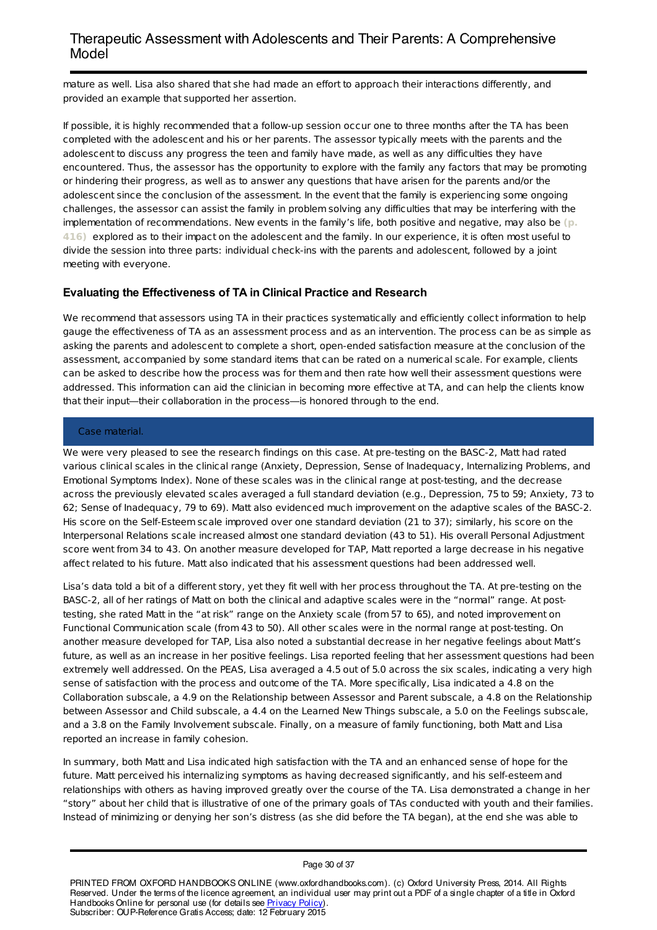mature as well. Lisa also shared that she had made an effort to approach their interactions differently, and provided an example that supported her assertion.

If possible, it is highly recommended that a follow-up session occur one to three months after the TA has been completed with the adolescent and his or her parents. The assessor typically meets with the parents and the adolescent to discuss any progress the teen and family have made, as well as any difficulties they have encountered. Thus, the assessor has the opportunity to explore with the family any factors that may be promoting or hindering their progress, as well as to answer any questions that have arisen for the parents and/or the adolescent since the conclusion of the assessment. In the event that the family is experiencing some ongoing challenges, the assessor can assist the family in problem solving any difficulties that may be interfering with the implementation of recommendations. New events in the family's life, both positive and negative, may also be **(p. 416)** explored as to their impact on the adolescent and the family. In our experience, it is often most useful to divide the session into three parts: individual check-ins with the parents and adolescent, followed by a joint meeting with everyone.

## **Evaluating the Effectiveness of TA in Clinical Practice and Research**

We recommend that assessors using TA in their practices systematically and efficiently collect information to help gauge the effectiveness of TA as an assessment process and as an intervention. The process can be as simple as asking the parents and adolescent to complete a short, open-ended satisfaction measure at the conclusion of the assessment, accompanied by some standard items that can be rated on a numerical scale. For example, clients can be asked to describe how the process was for them and then rate how well their assessment questions were addressed. This information can aid the clinician in becoming more effective at TA, and can help the clients know that their input—their collaboration in the process—is honored through to the end.

### Case material.

We were very pleased to see the research findings on this case. At pre-testing on the BASC-2, Matt had rated various clinical scales in the clinical range (Anxiety, Depression, Sense of Inadequacy, Internalizing Problems, and Emotional Symptoms Index). None of these scales was in the clinical range at post-testing, and the decrease across the previously elevated scales averaged a full standard deviation (e.g., Depression, 75 to 59; Anxiety, 73 to 62; Sense of Inadequacy, 79 to 69). Matt also evidenced much improvement on the adaptive scales of the BASC-2. His score on the Self-Esteem scale improved over one standard deviation (21 to 37); similarly, his score on the Interpersonal Relations scale increased almost one standard deviation (43 to 51). His overall Personal Adjustment score went from 34 to 43. On another measure developed for TAP, Matt reported a large decrease in his negative affect related to his future. Matt also indicated that his assessment questions had been addressed well.

Lisa's data told a bit of a different story, yet they fit well with her process throughout the TA. At pre-testing on the BASC-2, all of her ratings of Matt on both the clinical and adaptive scales were in the "normal" range. At posttesting, she rated Matt in the "at risk" range on the Anxiety scale (from 57 to 65), and noted improvement on Functional Communication scale (from 43 to 50). All other scales were in the normal range at post-testing. On another measure developed for TAP, Lisa also noted a substantial decrease in her negative feelings about Matt's future, as well as an increase in her positive feelings. Lisa reported feeling that her assessment questions had been extremely well addressed. On the PEAS, Lisa averaged a 4.5 out of 5.0 across the six scales, indicating a very high sense of satisfaction with the process and outcome of the TA. More specifically, Lisa indicated a 4.8 on the Collaboration subscale, a 4.9 on the Relationship between Assessor and Parent subscale, a 4.8 on the Relationship between Assessor and Child subscale, a 4.4 on the Learned New Things subscale, a 5.0 on the Feelings subscale, and a 3.8 on the Family Involvement subscale. Finally, on a measure of family functioning, both Matt and Lisa reported an increase in family cohesion.

In summary, both Matt and Lisa indicated high satisfaction with the TA and an enhanced sense of hope for the future. Matt perceived his internalizing symptoms as having decreased significantly, and his self-esteem and relationships with others as having improved greatly over the course of the TA. Lisa demonstrated a change in her "story" about her child that is illustrative of one of the primary goals of TAs conducted with youth and their families. Instead of minimizing or denying her son's distress (as she did before the TA began), at the end she was able to

#### Page 30 of 37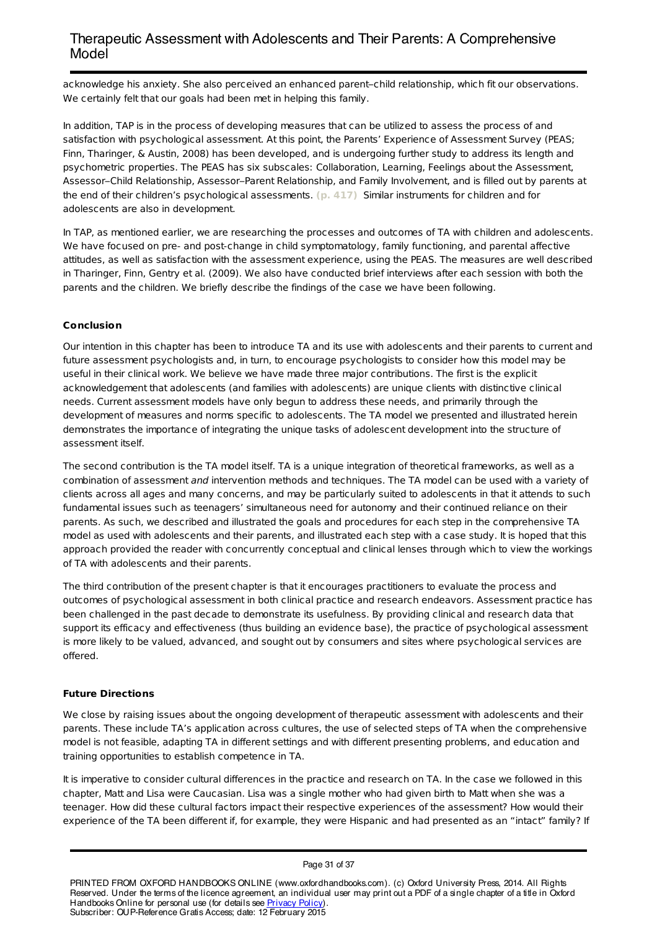acknowledge his anxiety. She also perceived an enhanced parent–child relationship, which fit our observations. We certainly felt that our goals had been met in helping this family.

In addition, TAP is in the process of developing measures that can be utilized to assess the process of and satisfaction with psychological assessment. At this point, the Parents' Experience of Assessment Survey (PEAS; Finn, Tharinger, & Austin, 2008) has been developed, and is undergoing further study to address its length and psychometric properties. The PEAS has six subscales: Collaboration, Learning, Feelings about the Assessment, Assessor–Child Relationship, Assessor–Parent Relationship, and Family Involvement, and is filled out by parents at the end of their children's psychological assessments. **(p. 417)** Similar instruments for children and for adolescents are also in development.

In TAP, as mentioned earlier, we are researching the processes and outcomes of TA with children and adolescents. We have focused on pre- and post-change in child symptomatology, family functioning, and parental affective attitudes, as well as satisfaction with the assessment experience, using the PEAS. The measures are well described in Tharinger, Finn, Gentry et al. (2009). We also have conducted brief interviews after each session with both the parents and the children. We briefly describe the findings of the case we have been following.

## **Conclusion**

Our intention in this chapter has been to introduce TA and its use with adolescents and their parents to current and future assessment psychologists and, in turn, to encourage psychologists to consider how this model may be useful in their clinical work. We believe we have made three major contributions. The first is the explicit acknowledgement that adolescents (and families with adolescents) are unique clients with distinctive clinical needs. Current assessment models have only begun to address these needs, and primarily through the development of measures and norms specific to adolescents. The TA model we presented and illustrated herein demonstrates the importance of integrating the unique tasks of adolescent development into the structure of assessment itself.

The second contribution is the TA model itself. TA is a unique integration of theoretical frameworks, as well as a combination of assessment and intervention methods and techniques. The TA model can be used with a variety of clients across all ages and many concerns, and may be particularly suited to adolescents in that it attends to such fundamental issues such as teenagers' simultaneous need for autonomy and their continued reliance on their parents. As such, we described and illustrated the goals and procedures for each step in the comprehensive TA model as used with adolescents and their parents, and illustrated each step with a case study. It is hoped that this approach provided the reader with concurrently conceptual and clinical lenses through which to view the workings of TA with adolescents and their parents.

The third contribution of the present chapter is that it encourages practitioners to evaluate the process and outcomes of psychological assessment in both clinical practice and research endeavors. Assessment practice has been challenged in the past decade to demonstrate its usefulness. By providing clinical and research data that support its efficacy and effectiveness (thus building an evidence base), the practice of psychological assessment is more likely to be valued, advanced, and sought out by consumers and sites where psychological services are offered.

### **Future Directions**

We close by raising issues about the ongoing development of therapeutic assessment with adolescents and their parents. These include TA's application across cultures, the use of selected steps of TA when the comprehensive model is not feasible, adapting TA in different settings and with different presenting problems, and education and training opportunities to establish competence in TA.

It is imperative to consider cultural differences in the practice and research on TA. In the case we followed in this chapter, Matt and Lisa were Caucasian. Lisa was a single mother who had given birth to Matt when she was a teenager. How did these cultural factors impact their respective experiences of the assessment? How would their experience of the TA been different if, for example, they were Hispanic and had presented as an "intact" family? If

Page 31 of 37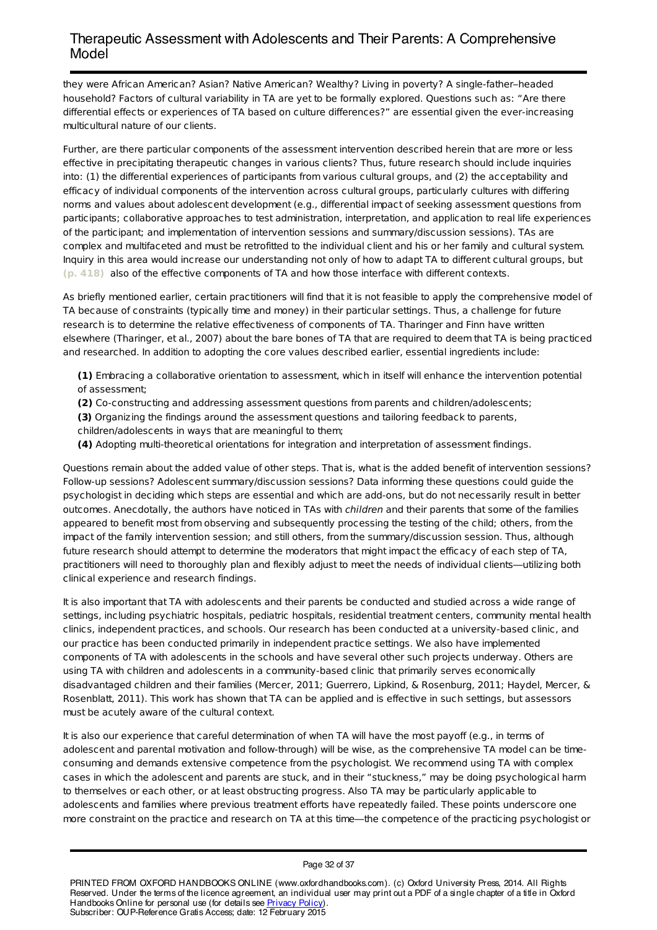they were African American? Asian? Native American? Wealthy? Living in poverty? A single-father–headed household? Factors of cultural variability in TA are yet to be formally explored. Questions such as: "Are there differential effects or experiences of TA based on culture differences?" are essential given the ever-increasing multicultural nature of our clients.

Further, are there particular components of the assessment intervention described herein that are more or less effective in precipitating therapeutic changes in various clients? Thus, future research should include inquiries into: (1) the differential experiences of participants from various cultural groups, and (2) the acceptability and efficacy of individual components of the intervention across cultural groups, particularly cultures with differing norms and values about adolescent development (e.g., differential impact of seeking assessment questions from participants; collaborative approaches to test administration, interpretation, and application to real life experiences of the participant; and implementation of intervention sessions and summary/discussion sessions). TAs are complex and multifaceted and must be retrofitted to the individual client and his or her family and cultural system. Inquiry in this area would increase our understanding not only of how to adapt TA to different cultural groups, but **(p. 418)** also of the effective components of TA and how those interface with different contexts.

As briefly mentioned earlier, certain practitioners will find that it is not feasible to apply the comprehensive model of TA because of constraints (typically time and money) in their particular settings. Thus, a challenge for future research is to determine the relative effectiveness of components of TA. Tharinger and Finn have written elsewhere (Tharinger, et al., 2007) about the bare bones of TA that are required to deem that TA is being practiced and researched. In addition to adopting the core values described earlier, essential ingredients include:

**(1)** Embracing a collaborative orientation to assessment, which in itself will enhance the intervention potential of assessment;

- **(2)** Co-constructing and addressing assessment questions from parents and children/adolescents;
- **(3)** Organizing the findings around the assessment questions and tailoring feedback to parents,
- children/adolescents in ways that are meaningful to them;
- **(4)** Adopting multi-theoretical orientations for integration and interpretation of assessment findings.

Questions remain about the added value of other steps. That is, what is the added benefit of intervention sessions? Follow-up sessions? Adolescent summary/discussion sessions? Data informing these questions could guide the psychologist in deciding which steps are essential and which are add-ons, but do not necessarily result in better outcomes. Anecdotally, the authors have noticed in TAs with children and their parents that some of the families appeared to benefit most from observing and subsequently processing the testing of the child; others, from the impact of the family intervention session; and still others, from the summary/discussion session. Thus, although future research should attempt to determine the moderators that might impact the efficacy of each step of TA, practitioners will need to thoroughly plan and flexibly adjust to meet the needs of individual clients—utilizing both clinical experience and research findings.

It is also important that TA with adolescents and their parents be conducted and studied across a wide range of settings, including psychiatric hospitals, pediatric hospitals, residential treatment centers, community mental health clinics, independent practices, and schools. Our research has been conducted at a university-based clinic, and our practice has been conducted primarily in independent practice settings. We also have implemented components of TA with adolescents in the schools and have several other such projects underway. Others are using TA with children and adolescents in a community-based clinic that primarily serves economically disadvantaged children and their families (Mercer, 2011; Guerrero, Lipkind, & Rosenburg, 2011; Haydel, Mercer, & Rosenblatt, 2011). This work has shown that TA can be applied and is effective in such settings, but assessors must be acutely aware of the cultural context.

It is also our experience that careful determination of when TA will have the most payoff (e.g., in terms of adolescent and parental motivation and follow-through) will be wise, as the comprehensive TA model can be timeconsuming and demands extensive competence from the psychologist. We recommend using TA with complex cases in which the adolescent and parents are stuck, and in their "stuckness," may be doing psychological harm to themselves or each other, or at least obstructing progress. Also TA may be particularly applicable to adolescents and families where previous treatment efforts have repeatedly failed. These points underscore one more constraint on the practice and research on TA at this time—the competence of the practicing psychologist or

#### Page 32 of 37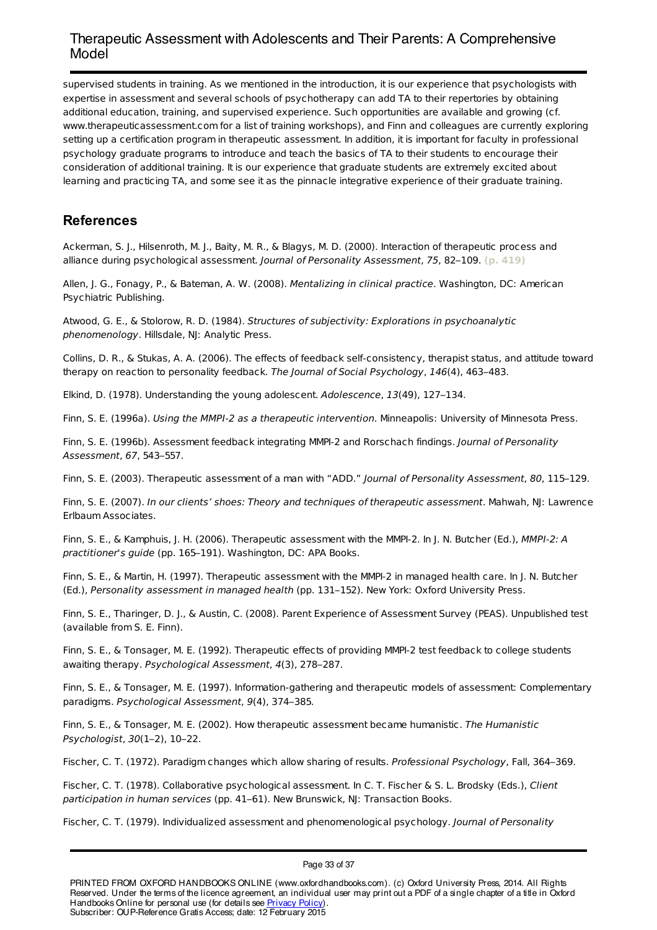supervised students in training. As we mentioned in the introduction, it is our experience that psychologists with expertise in assessment and several schools of psychotherapy can add TA to their repertories by obtaining additional education, training, and supervised experience. Such opportunities are available and growing (cf. www.therapeuticassessment.com for a list of training workshops), and Finn and colleagues are currently exploring setting up a certification program in therapeutic assessment. In addition, it is important for faculty in professional psychology graduate programs to introduce and teach the basics of TA to their students to encourage their consideration of additional training. It is our experience that graduate students are extremely excited about learning and practicing TA, and some see it as the pinnacle integrative experience of their graduate training.

# **References**

Ackerman, S. J., Hilsenroth, M. J., Baity, M. R., & Blagys, M. D. (2000). Interaction of therapeutic process and alliance during psychological assessment. Journal of Personality Assessment, 75, 82–109. **(p. 419)**

Allen, J. G., Fonagy, P., & Bateman, A. W. (2008). Mentalizing in clinical practice. Washington, DC: American Psychiatric Publishing.

Atwood, G. E., & Stolorow, R. D. (1984). Structures of subjectivity: Explorations in psychoanalytic phenomenology. Hillsdale, NJ: Analytic Press.

Collins, D. R., & Stukas, A. A. (2006). The effects of feedback self-consistency, therapist status, and attitude toward therapy on reaction to personality feedback. The Journal of Social Psychology, 146(4), 463-483.

Elkind, D. (1978). Understanding the young adolescent. Adolescence, 13(49), 127–134.

Finn, S. E. (1996a). Using the MMPI-2 as a therapeutic intervention. Minneapolis: University of Minnesota Press.

Finn, S. E. (1996b). Assessment feedback integrating MMPI-2 and Rorschach findings. Journal of Personality Assessment, 67, 543–557.

Finn, S. E. (2003). Therapeutic assessment of a man with "ADD." Journal of Personality Assessment, 80, 115-129.

Finn, S. E. (2007). In our clients' shoes: Theory and techniques of therapeutic assessment. Mahwah, NJ: Lawrence Erlbaum Associates.

Finn, S. E., & Kamphuis, J. H. (2006). Therapeutic assessment with the MMPI-2. In J. N. Butcher (Ed.), MMPI-2: A practitioner's guide (pp. 165–191). Washington, DC: APA Books.

Finn, S. E., & Martin, H. (1997). Therapeutic assessment with the MMPI-2 in managed health care. In J. N. Butcher (Ed.), Personality assessment in managed health (pp. 131–152). New York: Oxford University Press.

Finn, S. E., Tharinger, D. J., & Austin, C. (2008). Parent Experience of Assessment Survey (PEAS). Unpublished test (available from S. E. Finn).

Finn, S. E., & Tonsager, M. E. (1992). Therapeutic effects of providing MMPI-2 test feedback to college students awaiting therapy. Psychological Assessment, 4(3), 278–287.

Finn, S. E., & Tonsager, M. E. (1997). Information-gathering and therapeutic models of assessment: Complementary paradigms. Psychological Assessment, 9(4), 374–385.

Finn, S. E., & Tonsager, M. E. (2002). How therapeutic assessment became humanistic. The Humanistic Psychologist, 30(1–2), 10–22.

Fischer, C. T. (1972). Paradigm changes which allow sharing of results. Professional Psychology, Fall, 364–369.

Fischer, C. T. (1978). Collaborative psychological assessment. In C. T. Fischer & S. L. Brodsky (Eds.), Client participation in human services (pp. 41–61). New Brunswick, NJ: Transaction Books.

Fischer, C. T. (1979). Individualized assessment and phenomenological psychology. Journal of Personality

#### Page 33 of 37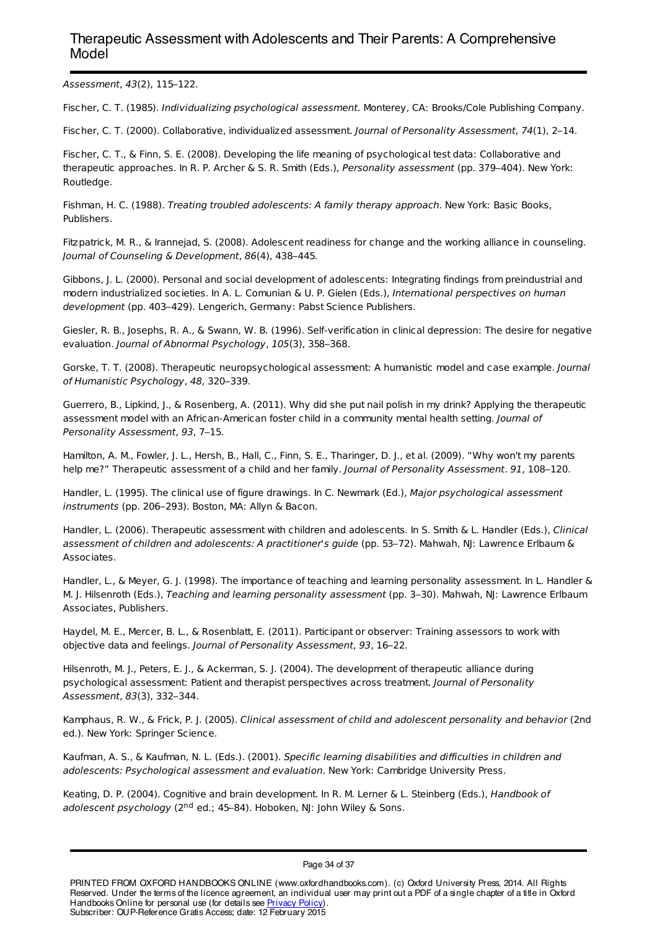Assessment, 43(2), 115–122.

Fischer, C. T. (1985). Individualizing psychological assessment. Monterey, CA: Brooks/Cole Publishing Company.

Fischer, C. T. (2000). Collaborative, individualized assessment. *Journal of Personality Assessment, 74*(1), 2–14.

Fischer, C. T., & Finn, S. E. (2008). Developing the life meaning of psychological test data: Collaborative and therapeutic approaches. In R. P. Archer & S. R. Smith (Eds.), Personality assessment (pp. 379–404). New York: Routledge.

Fishman, H. C. (1988). Treating troubled adolescents: A family therapy approach. New York: Basic Books, Publishers.

Fitzpatrick, M. R., & Irannejad, S. (2008). Adolescent readiness for change and the working alliance in counseling. Journal of Counseling & Development, 86(4), 438–445.

Gibbons, J. L. (2000). Personal and social development of adolescents: Integrating findings from preindustrial and modern industrialized societies. In A. L. Comunian & U. P. Gielen (Eds.), International perspectives on human development (pp. 403–429). Lengerich, Germany: Pabst Science Publishers.

Giesler, R. B., Josephs, R. A., & Swann, W. B. (1996). Self-verification in clinical depression: The desire for negative evaluation. Journal of Abnormal Psychology, 105(3), 358–368.

Gorske, T. T. (2008). Therapeutic neuropsychological assessment: A humanistic model and case example. Journal of Humanistic Psychology, 48, 320–339.

Guerrero, B., Lipkind, J., & Rosenberg, A. (2011). Why did she put nail polish in my drink? Applying the therapeutic assessment model with an African-American foster child in a community mental health setting. Journal of Personality Assessment, 93, 7–15.

Hamilton, A. M., Fowler, J. L., Hersh, B., Hall, C., Finn, S. E., Tharinger, D. J., et al. (2009). "Why won't my parents help me?" Therapeutic assessment of a child and her family. Journal of Personality Assessment. 91, 108-120.

Handler, L. (1995). The clinical use of figure drawings. In C. Newmark (Ed.), Major psychological assessment instruments (pp. 206–293). Boston, MA: Allyn & Bacon.

Handler, L. (2006). Therapeutic assessment with children and adolescents. In S. Smith & L. Handler (Eds.), Clinical assessment of children and adolescents: A practitioner's guide (pp. 53-72). Mahwah, NJ: Lawrence Erlbaum & Associates.

Handler, L., & Meyer, G. J. (1998). The importance of teaching and learning personality assessment. In L. Handler & M. J. Hilsenroth (Eds.), Teaching and learning personality assessment (pp. 3-30). Mahwah, NJ: Lawrence Erlbaum Associates, Publishers.

Haydel, M. E., Mercer, B. L., & Rosenblatt, E. (2011). Participant or observer: Training assessors to work with objective data and feelings. Journal of Personality Assessment, 93, 16–22.

Hilsenroth, M. J., Peters, E. J., & Ackerman, S. J. (2004). The development of therapeutic alliance during psychological assessment: Patient and therapist perspectives across treatment. Journal of Personality Assessment, 83(3), 332–344.

Kamphaus, R. W., & Frick, P. J. (2005). Clinical assessment of child and adolescent personality and behavior (2nd ed.). New York: Springer Science.

Kaufman, A. S., & Kaufman, N. L. (Eds.). (2001). Specific learning disabilities and difficulties in children and adolescents: Psychological assessment and evaluation. New York: Cambridge University Press.

Keating, D. P. (2004). Cognitive and brain development. In R. M. Lerner & L. Steinberg (Eds.), Handbook of adolescent psychology (2<sup>nd</sup> ed.; 45-84). Hoboken, NJ: John Wiley & Sons.

Page 34 of 37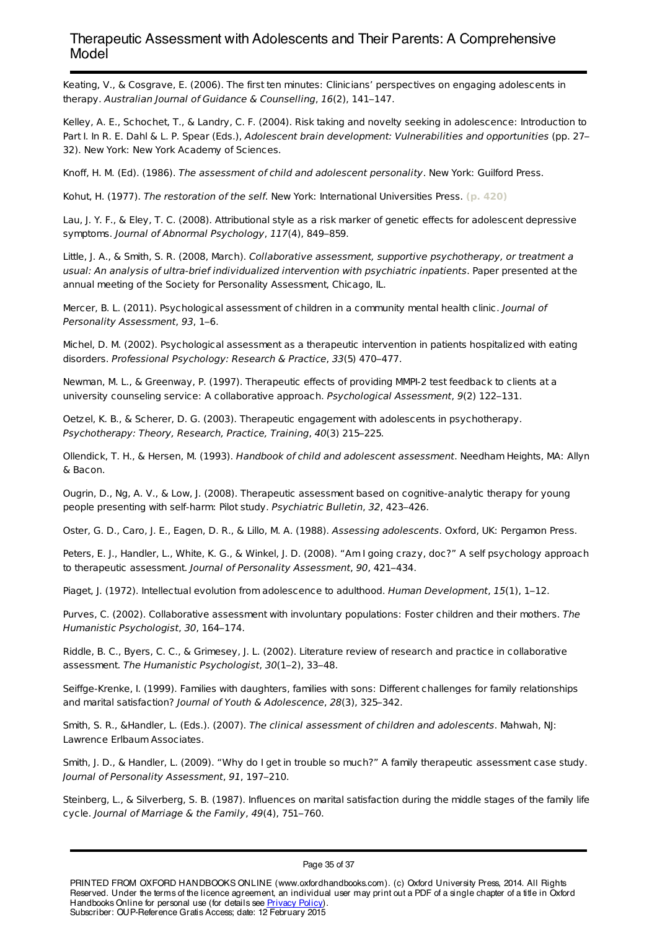Keating, V., & Cosgrave, E. (2006). The first ten minutes: Clinicians' perspectives on engaging adolescents in therapy. Australian Journal of Guidance & Counselling, 16(2), 141–147.

Kelley, A. E., Schochet, T., & Landry, C. F. (2004). Risk taking and novelty seeking in adolescence: Introduction to Part I. In R. E. Dahl & L. P. Spear (Eds.), Adolescent brain development: Vulnerabilities and opportunities (pp. 27– 32). New York: New York Academy of Sciences.

Knoff, H. M. (Ed). (1986). The assessment of child and adolescent personality. New York: Guilford Press.

Kohut, H. (1977). The restoration of the self. New York: International Universities Press. **(p. 420)**

Lau, J. Y. F., & Eley, T. C. (2008). Attributional style as a risk marker of genetic effects for adolescent depressive symptoms. Journal of Abnormal Psychology, 117(4), 849–859.

Little, J. A., & Smith, S. R. (2008, March). Collaborative assessment, supportive psychotherapy, or treatment a usual: An analysis of ultra-brief individualized intervention with psychiatric inpatients. Paper presented at the annual meeting of the Society for Personality Assessment, Chicago, IL.

Mercer, B. L. (2011). Psychological assessment of children in a community mental health clinic. Journal of Personality Assessment, 93, 1–6.

Michel, D. M. (2002). Psychological assessment as a therapeutic intervention in patients hospitalized with eating disorders. Professional Psychology: Research & Practice, 33(5) 470–477.

Newman, M. L., & Greenway, P. (1997). Therapeutic effects of providing MMPI-2 test feedback to clients at a university counseling service: A collaborative approach. Psychological Assessment, 9(2) 122-131.

Oetzel, K. B., & Scherer, D. G. (2003). Therapeutic engagement with adolescents in psychotherapy. Psychotherapy: Theory, Research, Practice, Training, 40(3) 215–225.

Ollendick, T. H., & Hersen, M. (1993). Handbook of child and adolescent assessment. Needham Heights, MA: Allyn & Bacon.

Ougrin, D., Ng, A. V., & Low, J. (2008). Therapeutic assessment based on cognitive-analytic therapy for young people presenting with self-harm: Pilot study. Psychiatric Bulletin, 32, 423–426.

Oster, G. D., Caro, J. E., Eagen, D. R., & Lillo, M. A. (1988). Assessing adolescents. Oxford, UK: Pergamon Press.

Peters, E. J., Handler, L., White, K. G., & Winkel, J. D. (2008). "Am I going crazy, doc?" A self psychology approach to therapeutic assessment. Journal of Personality Assessment, 90, 421–434.

Piaget, J. (1972). Intellectual evolution from adolescence to adulthood. Human Development, 15(1), 1-12.

Purves, C. (2002). Collaborative assessment with involuntary populations: Foster children and their mothers. The Humanistic Psychologist, 30, 164–174.

Riddle, B. C., Byers, C. C., & Grimesey, J. L. (2002). Literature review of research and practice in collaborative assessment. The Humanistic Psychologist, 30(1–2), 33–48.

Seiffge-Krenke, I. (1999). Families with daughters, families with sons: Different challenges for family relationships and marital satisfaction? Journal of Youth & Adolescence, 28(3), 325–342.

Smith, S. R., &Handler, L. (Eds.). (2007). The clinical assessment of children and adolescents. Mahwah, NI: Lawrence Erlbaum Associates.

Smith, J. D., & Handler, L. (2009). "Why do I get in trouble so much?" A family therapeutic assessment case study. Journal of Personality Assessment, 91, 197–210.

Steinberg, L., & Silverberg, S. B. (1987). Influences on marital satisfaction during the middle stages of the family life cycle. Journal of Marriage & the Family, 49(4), 751–760.

Page 35 of 37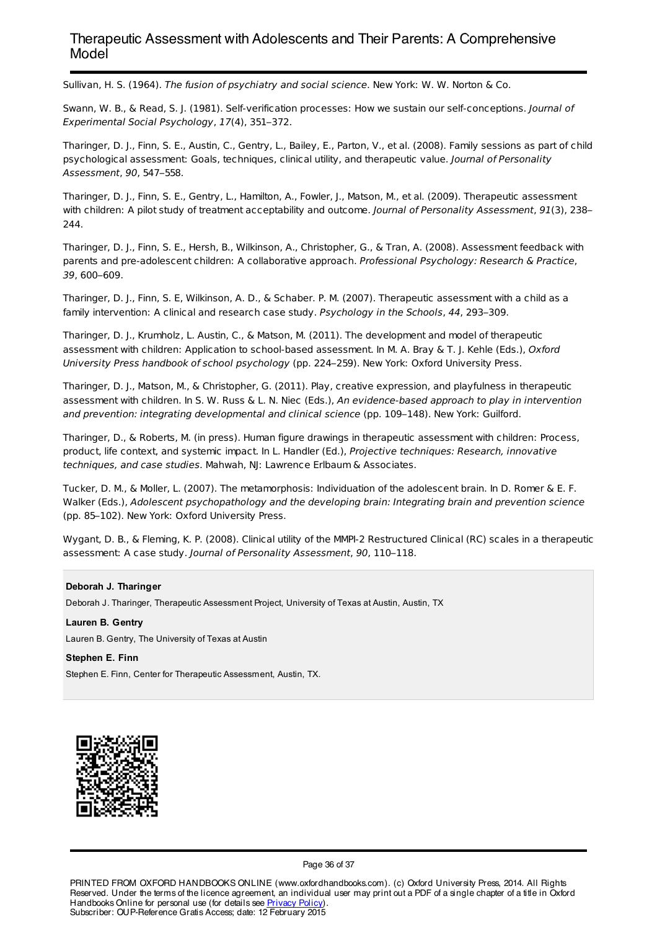Sullivan, H. S. (1964). The fusion of psychiatry and social science. New York: W. W. Norton & Co.

Swann, W. B., & Read, S. J. (1981). Self-verification processes: How we sustain our self-conceptions. Journal of Experimental Social Psychology, 17(4), 351–372.

Tharinger, D. J., Finn, S. E., Austin, C., Gentry, L., Bailey, E., Parton, V., et al. (2008). Family sessions as part of child psychological assessment: Goals, techniques, clinical utility, and therapeutic value. Journal of Personality Assessment, 90, 547–558.

Tharinger, D. J., Finn, S. E., Gentry, L., Hamilton, A., Fowler, J., Matson, M., et al. (2009). Therapeutic assessment with children: A pilot study of treatment acceptability and outcome. Journal of Personality Assessment, 91(3), 238-244.

Tharinger, D. J., Finn, S. E., Hersh, B., Wilkinson, A., Christopher, G., & Tran, A. (2008). Assessment feedback with parents and pre-adolescent children: A collaborative approach. Professional Psychology: Research & Practice, 39, 600–609.

Tharinger, D. J., Finn, S. E, Wilkinson, A. D., & Schaber. P. M. (2007). Therapeutic assessment with a child as a family intervention: A clinical and research case study. Psychology in the Schools, 44, 293–309.

Tharinger, D. J., Krumholz, L. Austin, C., & Matson, M. (2011). The development and model of therapeutic assessment with children: Application to school-based assessment. In M. A. Bray & T. J. Kehle (Eds.), Oxford University Press handbook of school psychology (pp. 224–259). New York: Oxford University Press.

Tharinger, D. J., Matson, M., & Christopher, G. (2011). Play, creative expression, and playfulness in therapeutic assessment with children. In S. W. Russ & L. N. Niec (Eds.), An evidence-based approach to play in intervention and prevention: integrating developmental and clinical science (pp. 109–148). New York: Guilford.

Tharinger, D., & Roberts, M. (in press). Human figure drawings in therapeutic assessment with children: Process, product, life context, and systemic impact. In L. Handler (Ed.), Projective techniques: Research, innovative techniques, and case studies. Mahwah, NJ: Lawrence Erlbaum & Associates.

Tucker, D. M., & Moller, L. (2007). The metamorphosis: Individuation of the adolescent brain. In D. Romer & E. F. Walker (Eds.), Adolescent psychopathology and the developing brain: Integrating brain and prevention science (pp. 85–102). New York: Oxford University Press.

Wygant, D. B., & Fleming, K. P. (2008). Clinical utility of the MMPI-2 Restructured Clinical (RC) scales in a therapeutic assessment: A case study. Journal of Personality Assessment, 90, 110–118.

### **Deborah J. Tharinger**

Deborah J. Tharinger, Therapeutic Assessment Project, University of Texas at Austin, Austin, TX

**Lauren B. Gentry** Lauren B. Gentry, The University of Texas at Austin

**Stephen E. Finn**

Stephen E. Finn, Center for Therapeutic Assessment, Austin, TX.



Page 36 of 37